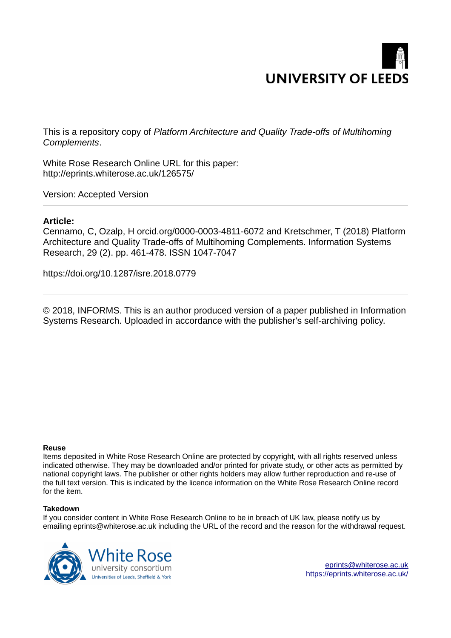

This is a repository copy of *Platform Architecture and Quality Trade-offs of Multihoming Complements*.

White Rose Research Online URL for this paper: http://eprints.whiterose.ac.uk/126575/

Version: Accepted Version

## **Article:**

Cennamo, C, Ozalp, H orcid.org/0000-0003-4811-6072 and Kretschmer, T (2018) Platform Architecture and Quality Trade-offs of Multihoming Complements. Information Systems Research, 29 (2). pp. 461-478. ISSN 1047-7047

https://doi.org/10.1287/isre.2018.0779

© 2018, INFORMS. This is an author produced version of a paper published in Information Systems Research. Uploaded in accordance with the publisher's self-archiving policy.

#### **Reuse**

Items deposited in White Rose Research Online are protected by copyright, with all rights reserved unless indicated otherwise. They may be downloaded and/or printed for private study, or other acts as permitted by national copyright laws. The publisher or other rights holders may allow further reproduction and re-use of the full text version. This is indicated by the licence information on the White Rose Research Online record for the item.

#### **Takedown**

If you consider content in White Rose Research Online to be in breach of UK law, please notify us by emailing eprints@whiterose.ac.uk including the URL of the record and the reason for the withdrawal request.



[eprints@whiterose.ac.uk](mailto:eprints@whiterose.ac.uk) <https://eprints.whiterose.ac.uk/>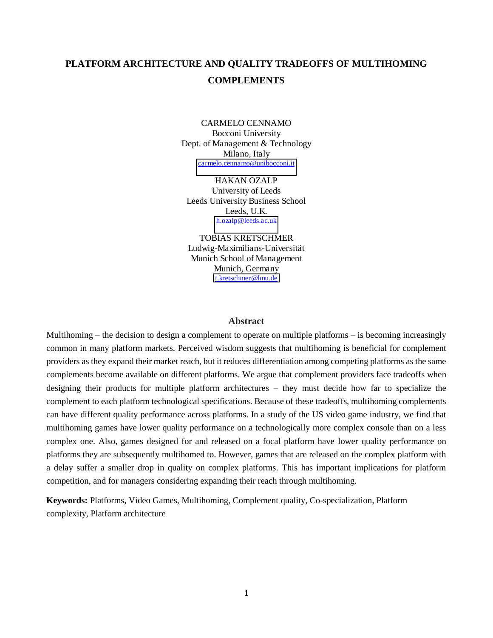## **PLATFORM ARCHITECTURE AND QUALITY TRADEOFFS OF MULTIHOMING COMPLEMENTS**

CARMELO CENNAMO Bocconi University Dept. of Management & Technology Milano, Italy [carmelo.cennamo@unibocconi.it](mailto:carmelo.cennamo@unibocconi.it)

HAKAN OZALP University of Leeds Leeds University Business School Leeds, U.K. [h.ozalp@leeds.ac.uk](mailto:h.ozalp@leeds.ac.uk)

TOBIAS KRETSCHMER Ludwig-Maximilians-Universität Munich School of Management Munich, Germany [t.kretschmer@lmu.de](mailto:t.kretschmer@lmu.de)

#### **Abstract**

Multihoming – the decision to design a complement to operate on multiple platforms – is becoming increasingly common in many platform markets. Perceived wisdom suggests that multihoming is beneficial for complement providers as they expand their market reach, but it reduces differentiation among competing platforms as the same complements become available on different platforms. We argue that complement providers face tradeoffs when designing their products for multiple platform architectures – they must decide how far to specialize the complement to each platform technological specifications. Because of these tradeoffs, multihoming complements can have different quality performance across platforms. In a study of the US video game industry, we find that multihoming games have lower quality performance on a technologically more complex console than on a less complex one. Also, games designed for and released on a focal platform have lower quality performance on platforms they are subsequently multihomed to. However, games that are released on the complex platform with a delay suffer a smaller drop in quality on complex platforms. This has important implications for platform competition, and for managers considering expanding their reach through multihoming.

**Keywords:** Platforms, Video Games, Multihoming, Complement quality, Co-specialization, Platform complexity, Platform architecture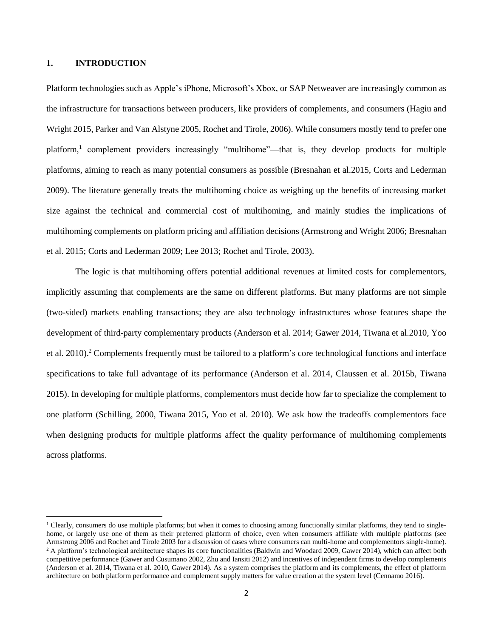#### **1. INTRODUCTION**

 $\overline{a}$ 

Platform technologies such as Apple's iPhone, Microsoft's Xbox, or SAP Netweaver are increasingly common as the infrastructure for transactions between producers, like providers of complements, and consumers (Hagiu and Wright 2015, Parker and Van Alstyne 2005, Rochet and Tirole, 2006). While consumers mostly tend to prefer one platform,<sup>1</sup> complement providers increasingly "multihome"—that is, they develop products for multiple platforms, aiming to reach as many potential consumers as possible (Bresnahan et al.2015, Corts and Lederman 2009). The literature generally treats the multihoming choice as weighing up the benefits of increasing market size against the technical and commercial cost of multihoming, and mainly studies the implications of multihoming complements on platform pricing and affiliation decisions (Armstrong and Wright 2006; Bresnahan et al. 2015; Corts and Lederman 2009; Lee 2013; Rochet and Tirole, 2003).

The logic is that multihoming offers potential additional revenues at limited costs for complementors, implicitly assuming that complements are the same on different platforms. But many platforms are not simple (two-sided) markets enabling transactions; they are also technology infrastructures whose features shape the development of third-party complementary products (Anderson et al. 2014; Gawer 2014, Tiwana et al.2010, Yoo et al. 2010).<sup>2</sup> Complements frequently must be tailored to a platform's core technological functions and interface specifications to take full advantage of its performance (Anderson et al. 2014, Claussen et al. 2015b, Tiwana 2015). In developing for multiple platforms, complementors must decide how far to specialize the complement to one platform (Schilling, 2000, Tiwana 2015, Yoo et al. 2010). We ask how the tradeoffs complementors face when designing products for multiple platforms affect the quality performance of multihoming complements across platforms.

<sup>&</sup>lt;sup>1</sup> Clearly, consumers do use multiple platforms; but when it comes to choosing among functionally similar platforms, they tend to singlehome, or largely use one of them as their preferred platform of choice, even when consumers affiliate with multiple platforms (see Armstrong 2006 and Rochet and Tirole 2003 for a discussion of cases where consumers can multi-home and complementors single-home). <sup>2</sup> A platform's technological architecture shapes its core functionalities (Baldwin and Woodard 2009, Gawer 2014), which can affect both competitive performance (Gawer and Cusumano 2002, Zhu and Iansiti 2012) and incentives of independent firms to develop complements (Anderson et al. 2014, Tiwana et al. 2010, Gawer 2014). As a system comprises the platform and its complements, the effect of platform architecture on both platform performance and complement supply matters for value creation at the system level (Cennamo 2016).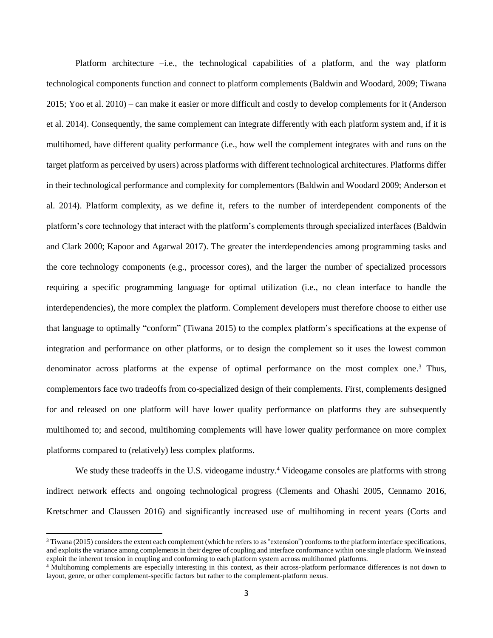Platform architecture  $-i.e.,$  the technological capabilities of a platform, and the way platform technological components function and connect to platform complements (Baldwin and Woodard, 2009; Tiwana 2015; Yoo et al. 2010) – can make it easier or more difficult and costly to develop complements for it (Anderson et al. 2014). Consequently, the same complement can integrate differently with each platform system and, if it is multihomed, have different quality performance (i.e., how well the complement integrates with and runs on the target platform as perceived by users) across platforms with different technological architectures. Platforms differ in their technological performance and complexity for complementors (Baldwin and Woodard 2009; Anderson et al. 2014). Platform complexity, as we define it, refers to the number of interdependent components of the platform's core technology that interact with the platform's complements through specialized interfaces (Baldwin and Clark 2000; Kapoor and Agarwal 2017). The greater the interdependencies among programming tasks and the core technology components (e.g., processor cores), and the larger the number of specialized processors requiring a specific programming language for optimal utilization (i.e., no clean interface to handle the interdependencies), the more complex the platform. Complement developers must therefore choose to either use that language to optimally "conform" (Tiwana 2015) to the complex platform's specifications at the expense of integration and performance on other platforms, or to design the complement so it uses the lowest common denominator across platforms at the expense of optimal performance on the most complex one.<sup>3</sup> Thus, complementors face two tradeoffs from co-specialized design of their complements. First, complements designed for and released on one platform will have lower quality performance on platforms they are subsequently multihomed to; and second, multihoming complements will have lower quality performance on more complex platforms compared to (relatively) less complex platforms.

We study these tradeoffs in the U.S. videogame industry.<sup>4</sup> Videogame consoles are platforms with strong indirect network effects and ongoing technological progress (Clements and Ohashi 2005, Cennamo 2016, Kretschmer and Claussen 2016) and significantly increased use of multihoming in recent years (Corts and

 $\overline{a}$ 

 $3$  Tiwana (2015) considers the extent each complement (which he refers to as "extension") conforms to the platform interface specifications, and exploits the variance among complements in their degree of coupling and interface conformance within one single platform. We instead exploit the inherent tension in coupling and conforming to each platform system across multihomed platforms.

<sup>4</sup> Multihoming complements are especially interesting in this context, as their across-platform performance differences is not down to layout, genre, or other complement-specific factors but rather to the complement-platform nexus.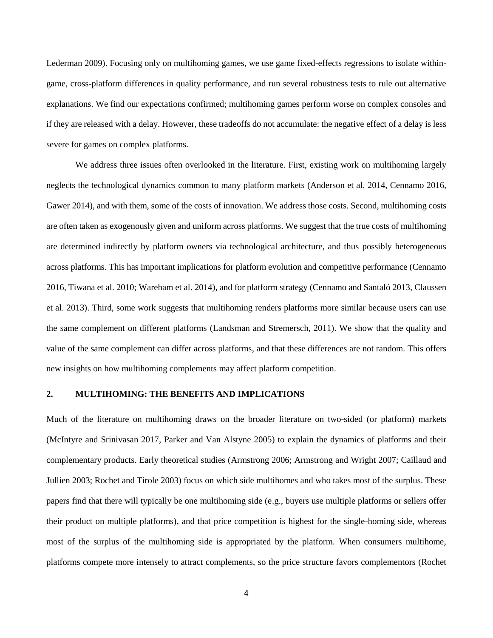Lederman 2009). Focusing only on multihoming games, we use game fixed-effects regressions to isolate withingame, cross-platform differences in quality performance, and run several robustness tests to rule out alternative explanations. We find our expectations confirmed; multihoming games perform worse on complex consoles and if they are released with a delay. However, these tradeoffs do not accumulate: the negative effect of a delay is less severe for games on complex platforms.

We address three issues often overlooked in the literature. First, existing work on multihoming largely neglects the technological dynamics common to many platform markets (Anderson et al. 2014, Cennamo 2016, Gawer 2014), and with them, some of the costs of innovation. We address those costs. Second, multihoming costs are often taken as exogenously given and uniform across platforms. We suggest that the true costs of multihoming are determined indirectly by platform owners via technological architecture, and thus possibly heterogeneous across platforms. This has important implications for platform evolution and competitive performance (Cennamo 2016, Tiwana et al. 2010; Wareham et al. 2014), and for platform strategy (Cennamo and Santaló 2013, Claussen et al. 2013). Third, some work suggests that multihoming renders platforms more similar because users can use the same complement on different platforms (Landsman and Stremersch, 2011). We show that the quality and value of the same complement can differ across platforms, and that these differences are not random. This offers new insights on how multihoming complements may affect platform competition.

## **2. MULTIHOMING: THE BENEFITS AND IMPLICATIONS**

Much of the literature on multihoming draws on the broader literature on two-sided (or platform) markets (McIntyre and Srinivasan 2017, Parker and Van Alstyne 2005) to explain the dynamics of platforms and their complementary products. Early theoretical studies (Armstrong 2006; Armstrong and Wright 2007; Caillaud and Jullien 2003; Rochet and Tirole 2003) focus on which side multihomes and who takes most of the surplus. These papers find that there will typically be one multihoming side (e.g., buyers use multiple platforms or sellers offer their product on multiple platforms), and that price competition is highest for the single-homing side, whereas most of the surplus of the multihoming side is appropriated by the platform. When consumers multihome, platforms compete more intensely to attract complements, so the price structure favors complementors (Rochet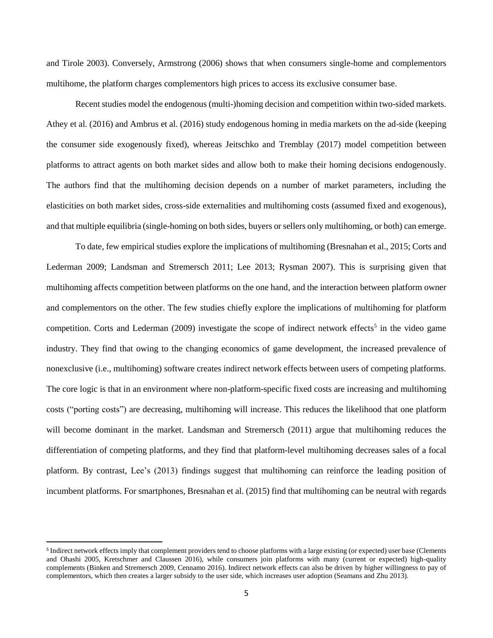and Tirole 2003). Conversely, Armstrong (2006) shows that when consumers single-home and complementors multihome, the platform charges complementors high prices to access its exclusive consumer base.

Recent studies model the endogenous (multi-)homing decision and competition within two-sided markets. Athey et al. (2016) and Ambrus et al. (2016) study endogenous homing in media markets on the ad-side (keeping the consumer side exogenously fixed), whereas Jeitschko and Tremblay (2017) model competition between platforms to attract agents on both market sides and allow both to make their homing decisions endogenously. The authors find that the multihoming decision depends on a number of market parameters, including the elasticities on both market sides, cross-side externalities and multihoming costs (assumed fixed and exogenous), and that multiple equilibria (single-homing on both sides, buyers or sellers only multihoming, or both) can emerge.

To date, few empirical studies explore the implications of multihoming (Bresnahan et al., 2015; Corts and Lederman 2009; Landsman and Stremersch 2011; Lee 2013; Rysman 2007). This is surprising given that multihoming affects competition between platforms on the one hand, and the interaction between platform owner and complementors on the other. The few studies chiefly explore the implications of multihoming for platform competition. Corts and Lederman (2009) investigate the scope of indirect network effects<sup>5</sup> in the video game industry. They find that owing to the changing economics of game development, the increased prevalence of nonexclusive (i.e., multihoming) software creates indirect network effects between users of competing platforms. The core logic is that in an environment where non-platform-specific fixed costs are increasing and multihoming costs ("porting costs") are decreasing, multihoming will increase. This reduces the likelihood that one platform will become dominant in the market. Landsman and Stremersch (2011) argue that multihoming reduces the differentiation of competing platforms, and they find that platform-level multihoming decreases sales of a focal platform. By contrast, Lee's (2013) findings suggest that multihoming can reinforce the leading position of incumbent platforms. For smartphones, Bresnahan et al. (2015) find that multihoming can be neutral with regards

l

<sup>&</sup>lt;sup>5</sup> Indirect network effects imply that complement providers tend to choose platforms with a large existing (or expected) user base (Clements and Ohashi 2005, Kretschmer and Claussen 2016), while consumers join platforms with many (current or expected) high-quality complements (Binken and Stremersch 2009, Cennamo 2016). Indirect network effects can also be driven by higher willingness to pay of complementors, which then creates a larger subsidy to the user side, which increases user adoption (Seamans and Zhu 2013).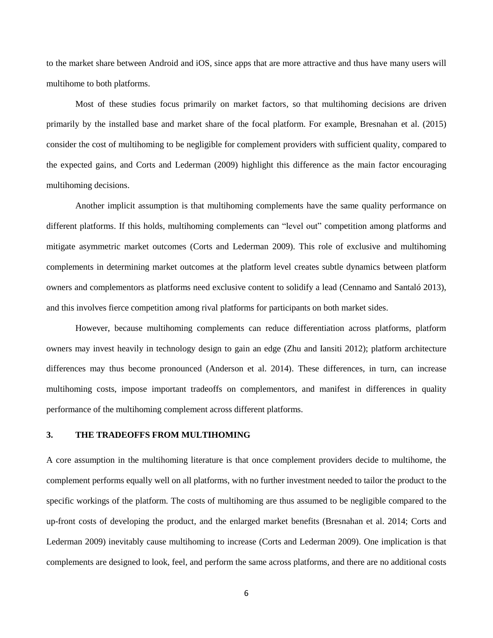to the market share between Android and iOS, since apps that are more attractive and thus have many users will multihome to both platforms.

Most of these studies focus primarily on market factors, so that multihoming decisions are driven primarily by the installed base and market share of the focal platform. For example, Bresnahan et al. (2015) consider the cost of multihoming to be negligible for complement providers with sufficient quality, compared to the expected gains, and Corts and Lederman (2009) highlight this difference as the main factor encouraging multihoming decisions.

Another implicit assumption is that multihoming complements have the same quality performance on different platforms. If this holds, multihoming complements can "level out" competition among platforms and mitigate asymmetric market outcomes (Corts and Lederman 2009). This role of exclusive and multihoming complements in determining market outcomes at the platform level creates subtle dynamics between platform owners and complementors as platforms need exclusive content to solidify a lead (Cennamo and Santaló 2013), and this involves fierce competition among rival platforms for participants on both market sides.

However, because multihoming complements can reduce differentiation across platforms, platform owners may invest heavily in technology design to gain an edge (Zhu and Iansiti 2012); platform architecture differences may thus become pronounced (Anderson et al. 2014). These differences, in turn, can increase multihoming costs, impose important tradeoffs on complementors, and manifest in differences in quality performance of the multihoming complement across different platforms.

## **3. THE TRADEOFFS FROM MULTIHOMING**

A core assumption in the multihoming literature is that once complement providers decide to multihome, the complement performs equally well on all platforms, with no further investment needed to tailor the product to the specific workings of the platform. The costs of multihoming are thus assumed to be negligible compared to the up-front costs of developing the product, and the enlarged market benefits (Bresnahan et al. 2014; Corts and Lederman 2009) inevitably cause multihoming to increase (Corts and Lederman 2009). One implication is that complements are designed to look, feel, and perform the same across platforms, and there are no additional costs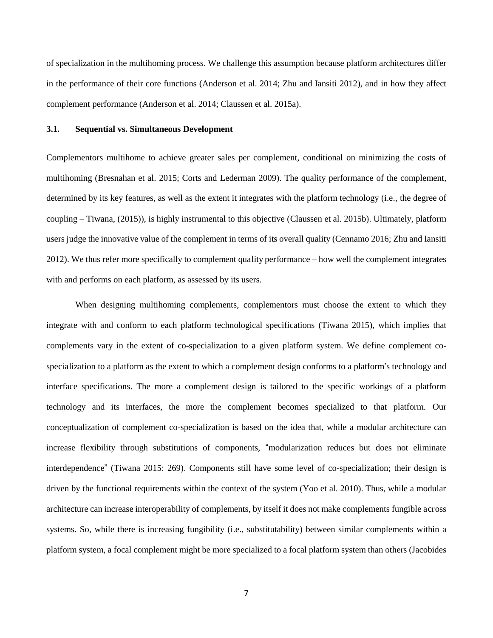of specialization in the multihoming process. We challenge this assumption because platform architectures differ in the performance of their core functions (Anderson et al. 2014; Zhu and Iansiti 2012), and in how they affect complement performance (Anderson et al. 2014; Claussen et al. 2015a).

#### **3.1. Sequential vs. Simultaneous Development**

Complementors multihome to achieve greater sales per complement, conditional on minimizing the costs of multihoming (Bresnahan et al. 2015; Corts and Lederman 2009). The quality performance of the complement, determined by its key features, as well as the extent it integrates with the platform technology (i.e., the degree of coupling – Tiwana, (2015)), is highly instrumental to this objective (Claussen et al. 2015b). Ultimately, platform users judge the innovative value of the complement in terms of its overall quality (Cennamo 2016; Zhu and Iansiti 2012). We thus refer more specifically to complement quality performance – how well the complement integrates with and performs on each platform, as assessed by its users.

When designing multihoming complements, complementors must choose the extent to which they integrate with and conform to each platform technological specifications (Tiwana 2015), which implies that complements vary in the extent of co-specialization to a given platform system. We define complement cospecialization to a platform as the extent to which a complement design conforms to a platform's technology and interface specifications. The more a complement design is tailored to the specific workings of a platform technology and its interfaces, the more the complement becomes specialized to that platform. Our conceptualization of complement co-specialization is based on the idea that, while a modular architecture can increase flexibility through substitutions of components, "modularization reduces but does not eliminate interdependence" (Tiwana 2015: 269). Components still have some level of co-specialization; their design is driven by the functional requirements within the context of the system (Yoo et al. 2010). Thus, while a modular architecture can increase interoperability of complements, by itself it does not make complements fungible across systems. So, while there is increasing fungibility (i.e., substitutability) between similar complements within a platform system, a focal complement might be more specialized to a focal platform system than others (Jacobides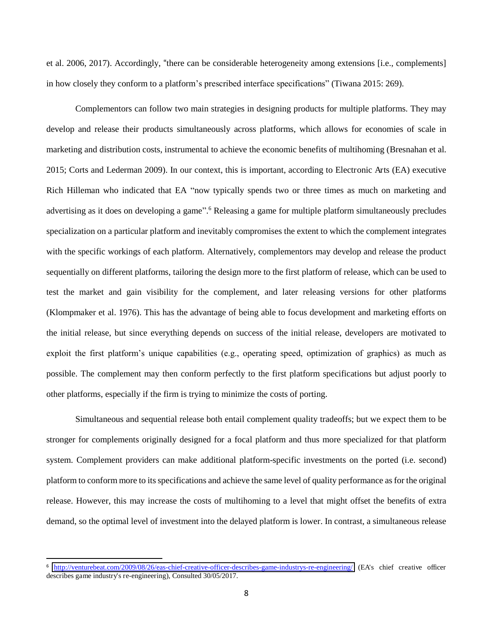et al. 2006, 2017). Accordingly, "there can be considerable heterogeneity among extensions [i.e., complements] in how closely they conform to a platform's prescribed interface specifications" (Tiwana 2015: 269).

Complementors can follow two main strategies in designing products for multiple platforms. They may develop and release their products simultaneously across platforms, which allows for economies of scale in marketing and distribution costs, instrumental to achieve the economic benefits of multihoming (Bresnahan et al. 2015; Corts and Lederman 2009). In our context, this is important, according to Electronic Arts (EA) executive Rich Hilleman who indicated that EA "now typically spends two or three times as much on marketing and advertising as it does on developing a game".<sup>6</sup> Releasing a game for multiple platform simultaneously precludes specialization on a particular platform and inevitably compromises the extent to which the complement integrates with the specific workings of each platform. Alternatively, complementors may develop and release the product sequentially on different platforms, tailoring the design more to the first platform of release, which can be used to test the market and gain visibility for the complement, and later releasing versions for other platforms (Klompmaker et al. 1976). This has the advantage of being able to focus development and marketing efforts on the initial release, but since everything depends on success of the initial release, developers are motivated to exploit the first platform's unique capabilities (e.g., operating speed, optimization of graphics) as much as possible. The complement may then conform perfectly to the first platform specifications but adjust poorly to other platforms, especially if the firm is trying to minimize the costs of porting.

Simultaneous and sequential release both entail complement quality tradeoffs; but we expect them to be stronger for complements originally designed for a focal platform and thus more specialized for that platform system. Complement providers can make additional platform-specific investments on the ported (i.e. second) platform to conform more to its specifications and achieve the same level of quality performance as for the original release. However, this may increase the costs of multihoming to a level that might offset the benefits of extra demand, so the optimal level of investment into the delayed platform is lower. In contrast, a simultaneous release

l

<sup>6</sup> <http://venturebeat.com/2009/08/26/eas-chief-creative-officer-describes-game-industrys-re-engineering/>(EA's chief creative officer describes game industry's re-engineering), Consulted 30/05/2017.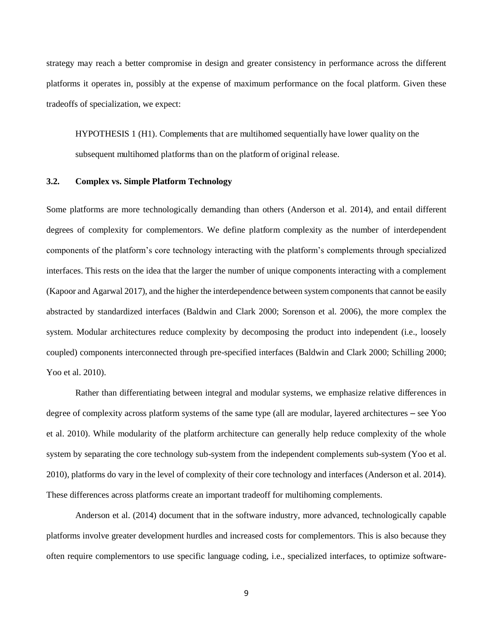strategy may reach a better compromise in design and greater consistency in performance across the different platforms it operates in, possibly at the expense of maximum performance on the focal platform. Given these tradeoffs of specialization, we expect:

HYPOTHESIS 1 (H1). Complements that are multihomed sequentially have lower quality on the subsequent multihomed platforms than on the platform of original release.

#### **3.2. Complex vs. Simple Platform Technology**

Some platforms are more technologically demanding than others (Anderson et al. 2014), and entail different degrees of complexity for complementors. We define platform complexity as the number of interdependent components of the platform's core technology interacting with the platform's complements through specialized interfaces. This rests on the idea that the larger the number of unique components interacting with a complement (Kapoor and Agarwal 2017), and the higher the interdependence between system components that cannot be easily abstracted by standardized interfaces (Baldwin and Clark 2000; Sorenson et al. 2006), the more complex the system. Modular architectures reduce complexity by decomposing the product into independent (i.e., loosely coupled) components interconnected through pre-specified interfaces (Baldwin and Clark 2000; Schilling 2000; Yoo et al. 2010).

Rather than differentiating between integral and modular systems, we emphasize relative differences in degree of complexity across platform systems of the same type (all are modular, layered architectures – see Yoo et al. 2010). While modularity of the platform architecture can generally help reduce complexity of the whole system by separating the core technology sub-system from the independent complements sub-system (Yoo et al. 2010), platforms do vary in the level of complexity of their core technology and interfaces (Anderson et al. 2014). These differences across platforms create an important tradeoff for multihoming complements.

Anderson et al. (2014) document that in the software industry, more advanced, technologically capable platforms involve greater development hurdles and increased costs for complementors. This is also because they often require complementors to use specific language coding, i.e., specialized interfaces, to optimize software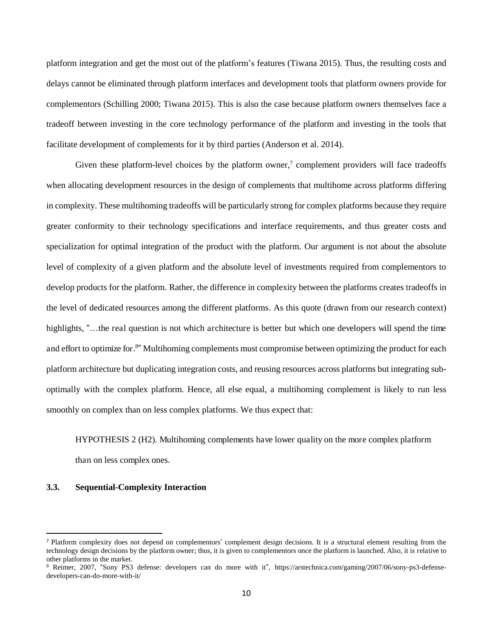platform integration and get the most out of the platform's features (Tiwana 2015). Thus, the resulting costs and delays cannot be eliminated through platform interfaces and development tools that platform owners provide for complementors (Schilling 2000; Tiwana 2015). This is also the case because platform owners themselves face a tradeoff between investing in the core technology performance of the platform and investing in the tools that facilitate development of complements for it by third parties (Anderson et al. 2014).

Given these platform-level choices by the platform owner,<sup>7</sup> complement providers will face tradeoffs when allocating development resources in the design of complements that multihome across platforms differing in complexity. These multihoming tradeoffs will be particularly strong for complex platforms because they require greater conformity to their technology specifications and interface requirements, and thus greater costs and specialization for optimal integration of the product with the platform. Our argument is not about the absolute level of complexity of a given platform and the absolute level of investments required from complementors to develop products for the platform. Rather, the difference in complexity between the platforms creates tradeoffs in the level of dedicated resources among the different platforms. As this quote (drawn from our research context) highlights, "...the real question is not which architecture is better but which one developers will spend the time and effort to optimize for.<sup>8</sup>" Multihoming complements must compromise between optimizing the product for each platform architecture but duplicating integration costs, and reusing resources across platforms but integrating suboptimally with the complex platform. Hence, all else equal, a multihoming complement is likely to run less smoothly on complex than on less complex platforms. We thus expect that:

HYPOTHESIS 2 (H2). Multihoming complements have lower quality on the more complex platform than on less complex ones.

#### **3.3. Sequential-Complexity Interaction**

 $\overline{a}$ 

<sup>7</sup> Platform complexity does not depend on complementors' complement design decisions. It is a structural element resulting from the technology design decisions by the platform owner; thus, it is given to complementors once the platform is launched. Also, it is relative to other platforms in the market.

<sup>8</sup> Reimer, 2007, "Sony PS3 defense: developers can do more with it", https://arstechnica.com/gaming/2007/06/sony-ps3-defensedevelopers-can-do-more-with-it/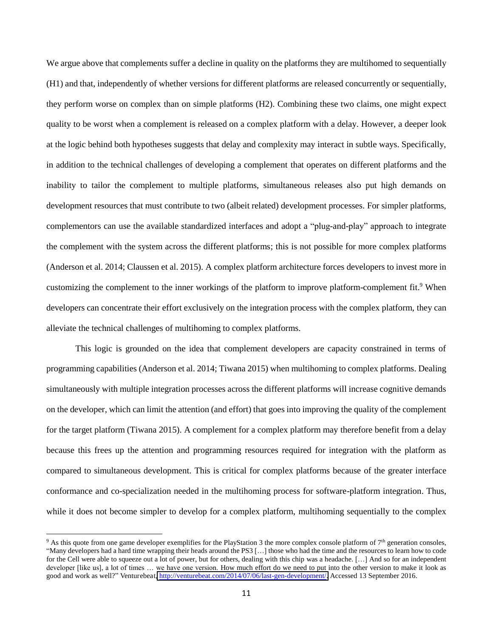We argue above that complements suffer a decline in quality on the platforms they are multihomed to sequentially (H1) and that, independently of whether versions for different platforms are released concurrently or sequentially, they perform worse on complex than on simple platforms (H2). Combining these two claims, one might expect quality to be worst when a complement is released on a complex platform with a delay. However, a deeper look at the logic behind both hypotheses suggests that delay and complexity may interact in subtle ways. Specifically, in addition to the technical challenges of developing a complement that operates on different platforms and the inability to tailor the complement to multiple platforms, simultaneous releases also put high demands on development resources that must contribute to two (albeit related) development processes. For simpler platforms, complementors can use the available standardized interfaces and adopt a "plug-and-play" approach to integrate the complement with the system across the different platforms; this is not possible for more complex platforms (Anderson et al. 2014; Claussen et al. 2015). A complex platform architecture forces developers to invest more in customizing the complement to the inner workings of the platform to improve platform-complement fit.<sup>9</sup> When developers can concentrate their effort exclusively on the integration process with the complex platform, they can alleviate the technical challenges of multihoming to complex platforms.

This logic is grounded on the idea that complement developers are capacity constrained in terms of programming capabilities (Anderson et al. 2014; Tiwana 2015) when multihoming to complex platforms. Dealing simultaneously with multiple integration processes across the different platforms will increase cognitive demands on the developer, which can limit the attention (and effort) that goes into improving the quality of the complement for the target platform (Tiwana 2015). A complement for a complex platform may therefore benefit from a delay because this frees up the attention and programming resources required for integration with the platform as compared to simultaneous development. This is critical for complex platforms because of the greater interface conformance and co-specialization needed in the multihoming process for software-platform integration. Thus, while it does not become simpler to develop for a complex platform, multihoming sequentially to the complex

l

 $9$  As this quote from one game developer exemplifies for the PlayStation 3 the more complex console platform of  $7<sup>th</sup>$  generation consoles, "Many developers had a hard time wrapping their heads around the PS3 […] those who had the time and the resources to learn how to code for the Cell were able to squeeze out a lot of power, but for others, dealing with this chip was a headache. [...] And so for an independent developer [like us], a lot of times … we have one version. How much effort do we need to put into the other version to make it look as good and work as well?" Venturebeat, [http://venturebeat.com/2014/07/06/last-gen-development/.](http://venturebeat.com/2014/07/06/last-gen-development/) Accessed 13 September 2016.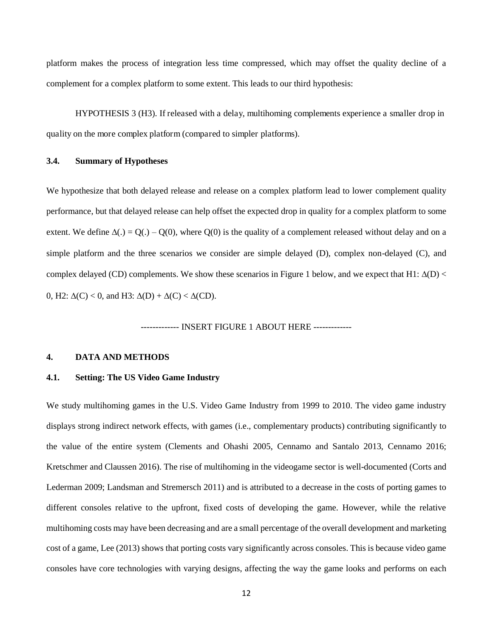platform makes the process of integration less time compressed, which may offset the quality decline of a complement for a complex platform to some extent. This leads to our third hypothesis:

HYPOTHESIS 3 (H3). If released with a delay, multihoming complements experience a smaller drop in quality on the more complex platform (compared to simpler platforms).

#### **3.4. Summary of Hypotheses**

We hypothesize that both delayed release and release on a complex platform lead to lower complement quality performance, but that delayed release can help offset the expected drop in quality for a complex platform to some extent. We define  $\Delta(.) = Q(.) - Q(0)$ , where Q(0) is the quality of a complement released without delay and on a simple platform and the three scenarios we consider are simple delayed (D), complex non-delayed (C), and complex delayed (CD) complements. We show these scenarios in Figure 1 below, and we expect that H1:  $\Delta(D)$  < 0, H2:  $\Delta(C)$  < 0, and H3:  $\Delta(D)$  +  $\Delta(C)$  <  $\Delta(CD)$ .

------------- INSERT FIGURE 1 ABOUT HERE -------------

#### **4. DATA AND METHODS**

## **4.1. Setting: The US Video Game Industry**

We study multihoming games in the U.S. Video Game Industry from 1999 to 2010. The video game industry displays strong indirect network effects, with games (i.e., complementary products) contributing significantly to the value of the entire system (Clements and Ohashi 2005, Cennamo and Santalo 2013, Cennamo 2016; Kretschmer and Claussen 2016). The rise of multihoming in the videogame sector is well-documented (Corts and Lederman 2009; Landsman and Stremersch 2011) and is attributed to a decrease in the costs of porting games to different consoles relative to the upfront, fixed costs of developing the game. However, while the relative multihoming costs may have been decreasing and are a small percentage of the overall development and marketing cost of a game, Lee (2013) shows that porting costs vary significantly across consoles. This is because video game consoles have core technologies with varying designs, affecting the way the game looks and performs on each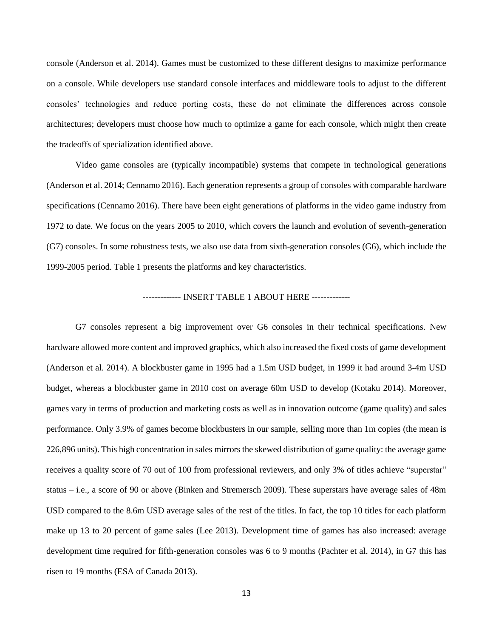console (Anderson et al. 2014). Games must be customized to these different designs to maximize performance on a console. While developers use standard console interfaces and middleware tools to adjust to the different consoles' technologies and reduce porting costs, these do not eliminate the differences across console architectures; developers must choose how much to optimize a game for each console, which might then create the tradeoffs of specialization identified above.

Video game consoles are (typically incompatible) systems that compete in technological generations (Anderson et al. 2014; Cennamo 2016). Each generation represents a group of consoles with comparable hardware specifications (Cennamo 2016). There have been eight generations of platforms in the video game industry from 1972 to date. We focus on the years 2005 to 2010, which covers the launch and evolution of seventh-generation (G7) consoles. In some robustness tests, we also use data from sixth-generation consoles (G6), which include the 1999-2005 period. Table 1 presents the platforms and key characteristics.

## ------------- INSERT TABLE 1 ABOUT HERE -------------

G7 consoles represent a big improvement over G6 consoles in their technical specifications. New hardware allowed more content and improved graphics, which also increased the fixed costs of game development (Anderson et al. 2014). A blockbuster game in 1995 had a 1.5m USD budget, in 1999 it had around 3-4m USD budget, whereas a blockbuster game in 2010 cost on average 60m USD to develop (Kotaku 2014). Moreover, games vary in terms of production and marketing costs as well as in innovation outcome (game quality) and sales performance. Only 3.9% of games become blockbusters in our sample, selling more than 1m copies (the mean is 226,896 units). This high concentration in sales mirrors the skewed distribution of game quality: the average game receives a quality score of 70 out of 100 from professional reviewers, and only 3% of titles achieve "superstar" status – i.e., a score of 90 or above (Binken and Stremersch 2009). These superstars have average sales of 48m USD compared to the 8.6m USD average sales of the rest of the titles. In fact, the top 10 titles for each platform make up 13 to 20 percent of game sales (Lee 2013). Development time of games has also increased: average development time required for fifth-generation consoles was 6 to 9 months (Pachter et al. 2014), in G7 this has risen to 19 months (ESA of Canada 2013).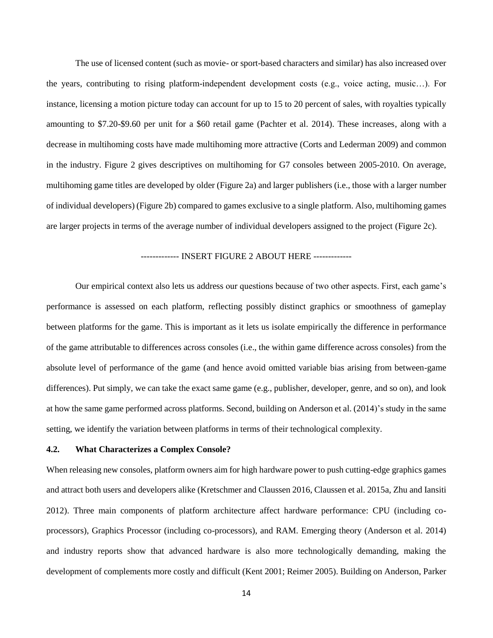The use of licensed content (such as movie- or sport-based characters and similar) has also increased over the years, contributing to rising platform-independent development costs (e.g., voice acting, music…). For instance, licensing a motion picture today can account for up to 15 to 20 percent of sales, with royalties typically amounting to \$7.20-\$9.60 per unit for a \$60 retail game (Pachter et al. 2014). These increases, along with a decrease in multihoming costs have made multihoming more attractive (Corts and Lederman 2009) and common in the industry. Figure 2 gives descriptives on multihoming for G7 consoles between 2005-2010. On average, multihoming game titles are developed by older (Figure 2a) and larger publishers (i.e., those with a larger number of individual developers) (Figure 2b) compared to games exclusive to a single platform. Also, multihoming games are larger projects in terms of the average number of individual developers assigned to the project (Figure 2c).

#### ------------- INSERT FIGURE 2 ABOUT HERE -------------

Our empirical context also lets us address our questions because of two other aspects. First, each game's performance is assessed on each platform, reflecting possibly distinct graphics or smoothness of gameplay between platforms for the game. This is important as it lets us isolate empirically the difference in performance of the game attributable to differences across consoles (i.e., the within game difference across consoles) from the absolute level of performance of the game (and hence avoid omitted variable bias arising from between-game differences). Put simply, we can take the exact same game (e.g., publisher, developer, genre, and so on), and look at how the same game performed across platforms. Second, building on Anderson et al. (2014)'s study in the same setting, we identify the variation between platforms in terms of their technological complexity.

#### **4.2. What Characterizes a Complex Console?**

When releasing new consoles, platform owners aim for high hardware power to push cutting-edge graphics games and attract both users and developers alike (Kretschmer and Claussen 2016, Claussen et al. 2015a, Zhu and Iansiti 2012). Three main components of platform architecture affect hardware performance: CPU (including coprocessors), Graphics Processor (including co-processors), and RAM. Emerging theory (Anderson et al. 2014) and industry reports show that advanced hardware is also more technologically demanding, making the development of complements more costly and difficult (Kent 2001; Reimer 2005). Building on Anderson, Parker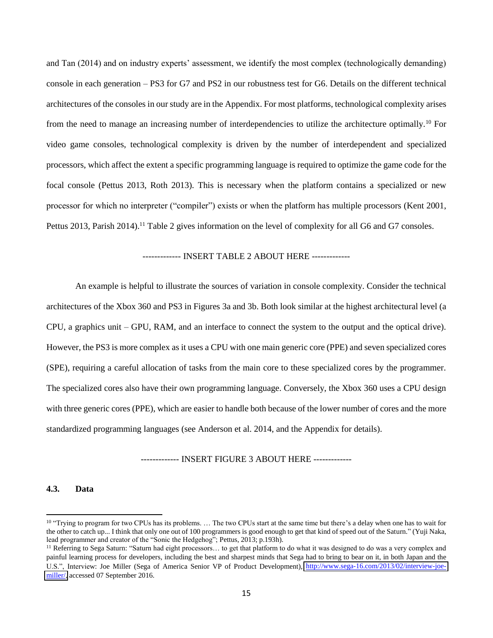and Tan (2014) and on industry experts' assessment, we identify the most complex (technologically demanding) console in each generation – PS3 for G7 and PS2 in our robustness test for G6. Details on the different technical architectures of the consoles in our study are in the Appendix. For most platforms, technological complexity arises from the need to manage an increasing number of interdependencies to utilize the architecture optimally.<sup>10</sup> For video game consoles, technological complexity is driven by the number of interdependent and specialized processors, which affect the extent a specific programming language is required to optimize the game code for the focal console (Pettus 2013, Roth 2013). This is necessary when the platform contains a specialized or new processor for which no interpreter ("compiler") exists or when the platform has multiple processors (Kent 2001, Pettus 2013, Parish 2014).<sup>11</sup> Table 2 gives information on the level of complexity for all G6 and G7 consoles.

## ------------- INSERT TABLE 2 ABOUT HERE -------------

An example is helpful to illustrate the sources of variation in console complexity. Consider the technical architectures of the Xbox 360 and PS3 in Figures 3a and 3b. Both look similar at the highest architectural level (a CPU, a graphics unit – GPU, RAM, and an interface to connect the system to the output and the optical drive). However, the PS3 is more complex as it uses a CPU with one main generic core (PPE) and seven specialized cores (SPE), requiring a careful allocation of tasks from the main core to these specialized cores by the programmer. The specialized cores also have their own programming language. Conversely, the Xbox 360 uses a CPU design with three generic cores (PPE), which are easier to handle both because of the lower number of cores and the more standardized programming languages (see Anderson et al. 2014, and the Appendix for details).

------------- INSERT FIGURE 3 ABOUT HERE -------------

## **4.3. Data**

l

<sup>&</sup>lt;sup>10</sup> "Trying to program for two CPUs has its problems. ... The two CPUs start at the same time but there's a delay when one has to wait for the other to catch up... I think that only one out of 100 programmers is good enough to get that kind of speed out of the Saturn." (Yuji Naka, lead programmer and creator of the "Sonic the Hedgehog"; Pettus, 2013; p.193h).

<sup>&</sup>lt;sup>11</sup> Referring to Sega Saturn: "Saturn had eight processors... to get that platform to do what it was designed to do was a very complex and painful learning process for developers, including the best and sharpest minds that Sega had to bring to bear on it, in both Japan and the U.S.", Interview: Joe Miller (Sega of America Senior VP of Product Development), [http://www.sega-16.com/2013/02/interview-joe](http://www.sega-16.com/2013/02/interview-joe-miller/)[miller/,](http://www.sega-16.com/2013/02/interview-joe-miller/) accessed 07 September 2016.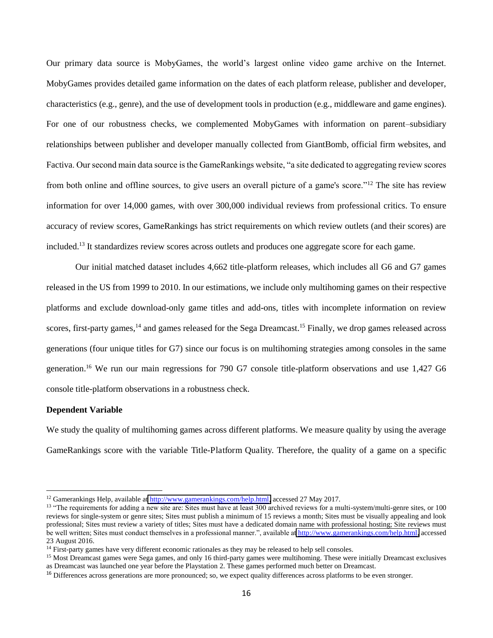Our primary data source is MobyGames, the world's largest online video game archive on the Internet. MobyGames provides detailed game information on the dates of each platform release, publisher and developer, characteristics (e.g., genre), and the use of development tools in production (e.g., middleware and game engines). For one of our robustness checks, we complemented MobyGames with information on parent–subsidiary relationships between publisher and developer manually collected from GiantBomb, official firm websites, and Factiva. Our second main data source is the GameRankings website, "a site dedicated to aggregating review scores from both online and offline sources, to give users an overall picture of a game's score."<sup>12</sup> The site has review information for over 14,000 games, with over 300,000 individual reviews from professional critics. To ensure accuracy of review scores, GameRankings has strict requirements on which review outlets (and their scores) are included.<sup>13</sup> It standardizes review scores across outlets and produces one aggregate score for each game.

Our initial matched dataset includes 4,662 title-platform releases, which includes all G6 and G7 games released in the US from 1999 to 2010. In our estimations, we include only multihoming games on their respective platforms and exclude download-only game titles and add-ons, titles with incomplete information on review scores, first-party games,<sup>14</sup> and games released for the Sega Dreamcast.<sup>15</sup> Finally, we drop games released across generations (four unique titles for G7) since our focus is on multihoming strategies among consoles in the same generation.<sup>16</sup> We run our main regressions for 790 G7 console title-platform observations and use 1,427 G6 console title-platform observations in a robustness check.

#### **Dependent Variable**

l

We study the quality of multihoming games across different platforms. We measure quality by using the average GameRankings score with the variable Title-Platform Quality. Therefore, the quality of a game on a specific

<sup>&</sup>lt;sup>12</sup> Gamerankings Help, available at [http://www.gamerankings.com/help.html,](http://www.gamerankings.com/help.html) accessed 27 May 2017.

<sup>&</sup>lt;sup>13</sup> "The requirements for adding a new site are: Sites must have at least 300 archived reviews for a multi-system/multi-genre sites, or 100 reviews for single-system or genre sites; Sites must publish a minimum of 15 reviews a month; Sites must be visually appealing and look professional; Sites must review a variety of titles; Sites must have a dedicated domain name with professional hosting; Site reviews must be well written; Sites must conduct themselves in a professional manner.", available at [http://www.gamerankings.com/help.html,](http://www.gamerankings.com/help.html) accessed 23 August 2016.

 $14$  First-party games have very different economic rationales as they may be released to help sell consoles.

<sup>&</sup>lt;sup>15</sup> Most Dreamcast games were Sega games, and only 16 third-party games were multihoming. These were initially Dreamcast exclusives as Dreamcast was launched one year before the Playstation 2. These games performed much better on Dreamcast.

<sup>&</sup>lt;sup>16</sup> Differences across generations are more pronounced; so, we expect quality differences across platforms to be even stronger.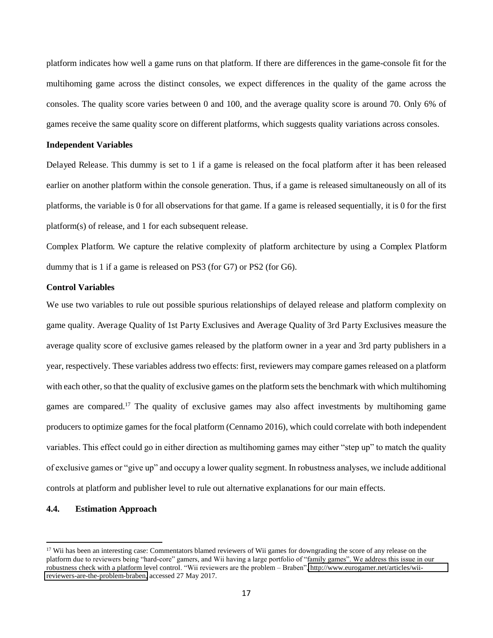platform indicates how well a game runs on that platform. If there are differences in the game-console fit for the multihoming game across the distinct consoles, we expect differences in the quality of the game across the consoles. The quality score varies between 0 and 100, and the average quality score is around 70. Only 6% of games receive the same quality score on different platforms, which suggests quality variations across consoles.

#### **Independent Variables**

Delayed Release. This dummy is set to 1 if a game is released on the focal platform after it has been released earlier on another platform within the console generation. Thus, if a game is released simultaneously on all of its platforms, the variable is 0 for all observations for that game. If a game is released sequentially, it is 0 for the first platform(s) of release, and 1 for each subsequent release.

Complex Platform. We capture the relative complexity of platform architecture by using a Complex Platform dummy that is 1 if a game is released on PS3 (for G7) or PS2 (for G6).

## **Control Variables**

We use two variables to rule out possible spurious relationships of delayed release and platform complexity on game quality. Average Quality of 1st Party Exclusives and Average Quality of 3rd Party Exclusives measure the average quality score of exclusive games released by the platform owner in a year and 3rd party publishers in a year, respectively. These variables address two effects: first, reviewers may compare games released on a platform with each other, so that the quality of exclusive games on the platform sets the benchmark with which multihoming games are compared.<sup>17</sup> The quality of exclusive games may also affect investments by multihoming game producers to optimize games for the focal platform (Cennamo 2016), which could correlate with both independent variables. This effect could go in either direction as multihoming games may either "step up" to match the quality of exclusive games or "give up" and occupy a lower quality segment. In robustness analyses, we include additional controls at platform and publisher level to rule out alternative explanations for our main effects.

#### **4.4. Estimation Approach**

 $\overline{a}$ 

<sup>&</sup>lt;sup>17</sup> Wii has been an interesting case: Commentators blamed reviewers of Wii games for downgrading the score of any release on the platform due to reviewers being "hard-core" gamers, and Wii having a large portfolio of "family games". We address this issue in our robustness check with a platform level control. "Wii reviewers are the problem – Braben", [http://www.eurogamer.net/articles/wii](http://www.eurogamer.net/articles/wii-reviewers-are-the-problem-braben)[reviewers-are-the-problem-braben,](http://www.eurogamer.net/articles/wii-reviewers-are-the-problem-braben) accessed 27 May 2017.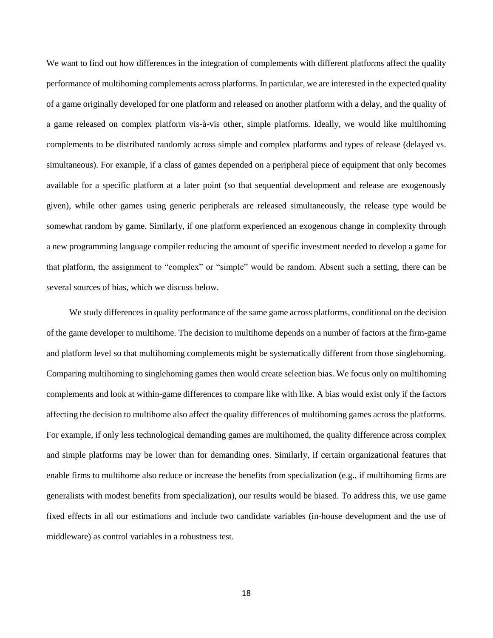We want to find out how differences in the integration of complements with different platforms affect the quality performance of multihoming complements across platforms. In particular, we are interested in the expected quality of a game originally developed for one platform and released on another platform with a delay, and the quality of a game released on complex platform vis-à-vis other, simple platforms. Ideally, we would like multihoming complements to be distributed randomly across simple and complex platforms and types of release (delayed vs. simultaneous). For example, if a class of games depended on a peripheral piece of equipment that only becomes available for a specific platform at a later point (so that sequential development and release are exogenously given), while other games using generic peripherals are released simultaneously, the release type would be somewhat random by game. Similarly, if one platform experienced an exogenous change in complexity through a new programming language compiler reducing the amount of specific investment needed to develop a game for that platform, the assignment to "complex" or "simple" would be random. Absent such a setting, there can be several sources of bias, which we discuss below.

We study differences in quality performance of the same game across platforms, conditional on the decision of the game developer to multihome. The decision to multihome depends on a number of factors at the firm-game and platform level so that multihoming complements might be systematically different from those singlehoming. Comparing multihoming to singlehoming games then would create selection bias. We focus only on multihoming complements and look at within-game differences to compare like with like. A bias would exist only if the factors affecting the decision to multihome also affect the quality differences of multihoming games across the platforms. For example, if only less technological demanding games are multihomed, the quality difference across complex and simple platforms may be lower than for demanding ones. Similarly, if certain organizational features that enable firms to multihome also reduce or increase the benefits from specialization (e.g., if multihoming firms are generalists with modest benefits from specialization), our results would be biased. To address this, we use game fixed effects in all our estimations and include two candidate variables (in-house development and the use of middleware) as control variables in a robustness test.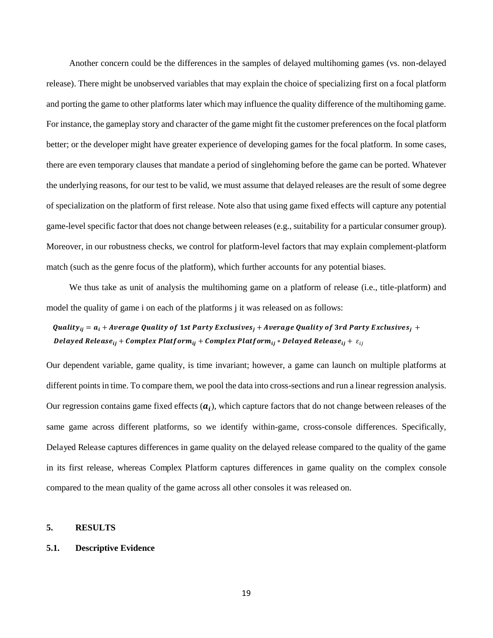Another concern could be the differences in the samples of delayed multihoming games (vs. non-delayed release). There might be unobserved variables that may explain the choice of specializing first on a focal platform and porting the game to other platforms later which may influence the quality difference of the multihoming game. For instance, the gameplay story and character of the game might fit the customer preferences on the focal platform better; or the developer might have greater experience of developing games for the focal platform. In some cases, there are even temporary clauses that mandate a period of singlehoming before the game can be ported. Whatever the underlying reasons, for our test to be valid, we must assume that delayed releases are the result of some degree of specialization on the platform of first release. Note also that using game fixed effects will capture any potential game-level specific factor that does not change between releases (e.g., suitability for a particular consumer group). Moreover, in our robustness checks, we control for platform-level factors that may explain complement-platform match (such as the genre focus of the platform), which further accounts for any potential biases.

We thus take as unit of analysis the multihoming game on a platform of release (i.e., title-platform) and model the quality of game i on each of the platforms j it was released on as follows:

## Quality $_{ij}$  =  $a_i$  + Average Quality of 1st Party Exclusives $_j$  + Average Quality of 3rd Party Exclusives $_j$  + Delayed Release<sub>li</sub> + Complex Platform<sub>ii</sub> + Complex Platform<sub>ii</sub> \* Delayed Release<sub>ii</sub> +  $\varepsilon_{ij}$

Our dependent variable, game quality, is time invariant; however, a game can launch on multiple platforms at different points in time. To compare them, we pool the data into cross-sections and run a linear regression analysis. Our regression contains game fixed effects  $(a_i)$ , which capture factors that do not change between releases of the same game across different platforms, so we identify within-game, cross-console differences. Specifically, Delayed Release captures differences in game quality on the delayed release compared to the quality of the game in its first release, whereas Complex Platform captures differences in game quality on the complex console compared to the mean quality of the game across all other consoles it was released on.

#### **5. RESULTS**

#### **5.1. Descriptive Evidence**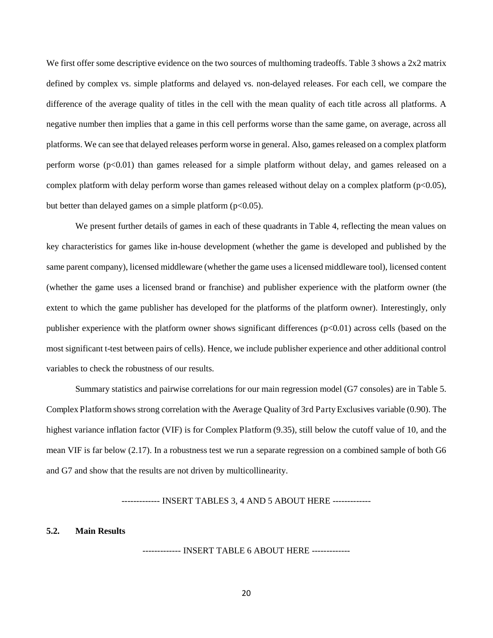We first offer some descriptive evidence on the two sources of multhoming tradeoffs. Table 3 shows a 2x2 matrix defined by complex vs. simple platforms and delayed vs. non-delayed releases. For each cell, we compare the difference of the average quality of titles in the cell with the mean quality of each title across all platforms. A negative number then implies that a game in this cell performs worse than the same game, on average, across all platforms. We can see that delayed releases perform worse in general. Also, games released on a complex platform perform worse  $(p<0.01)$  than games released for a simple platform without delay, and games released on a complex platform with delay perform worse than games released without delay on a complex platform (p<0.05), but better than delayed games on a simple platform  $(p<0.05)$ .

We present further details of games in each of these quadrants in Table 4, reflecting the mean values on key characteristics for games like in-house development (whether the game is developed and published by the same parent company), licensed middleware (whether the game uses a licensed middleware tool), licensed content (whether the game uses a licensed brand or franchise) and publisher experience with the platform owner (the extent to which the game publisher has developed for the platforms of the platform owner). Interestingly, only publisher experience with the platform owner shows significant differences (p<0.01) across cells (based on the most significant t-test between pairs of cells). Hence, we include publisher experience and other additional control variables to check the robustness of our results.

Summary statistics and pairwise correlations for our main regression model (G7 consoles) are in Table 5. Complex Platform shows strong correlation with the Average Quality of 3rd Party Exclusives variable (0.90). The highest variance inflation factor (VIF) is for Complex Platform (9.35), still below the cutoff value of 10, and the mean VIF is far below (2.17). In a robustness test we run a separate regression on a combined sample of both G6 and G7 and show that the results are not driven by multicollinearity.

------------- INSERT TABLES 3, 4 AND 5 ABOUT HERE -------------

**5.2. Main Results**

------------- INSERT TABLE 6 ABOUT HERE -------------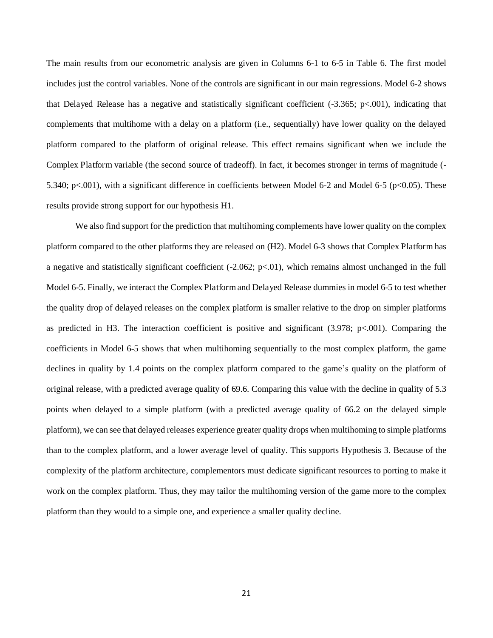The main results from our econometric analysis are given in Columns 6-1 to 6-5 in Table 6. The first model includes just the control variables. None of the controls are significant in our main regressions. Model 6-2 shows that Delayed Release has a negative and statistically significant coefficient (-3.365; p<.001), indicating that complements that multihome with a delay on a platform (i.e., sequentially) have lower quality on the delayed platform compared to the platform of original release. This effect remains significant when we include the Complex Platform variable (the second source of tradeoff). In fact, it becomes stronger in terms of magnitude (- 5.340; p<.001), with a significant difference in coefficients between Model 6-2 and Model 6-5 (p<0.05). These results provide strong support for our hypothesis H1.

We also find support for the prediction that multihoming complements have lower quality on the complex platform compared to the other platforms they are released on (H2). Model 6-3 shows that Complex Platform has a negative and statistically significant coefficient (-2.062; p<.01), which remains almost unchanged in the full Model 6-5. Finally, we interact the Complex Platform and Delayed Release dummies in model 6-5 to test whether the quality drop of delayed releases on the complex platform is smaller relative to the drop on simpler platforms as predicted in H3. The interaction coefficient is positive and significant  $(3.978; p<.001)$ . Comparing the coefficients in Model 6-5 shows that when multihoming sequentially to the most complex platform, the game declines in quality by 1.4 points on the complex platform compared to the game's quality on the platform of original release, with a predicted average quality of 69.6. Comparing this value with the decline in quality of 5.3 points when delayed to a simple platform (with a predicted average quality of 66.2 on the delayed simple platform), we can see that delayed releases experience greater quality drops when multihoming to simple platforms than to the complex platform, and a lower average level of quality. This supports Hypothesis 3. Because of the complexity of the platform architecture, complementors must dedicate significant resources to porting to make it work on the complex platform. Thus, they may tailor the multihoming version of the game more to the complex platform than they would to a simple one, and experience a smaller quality decline.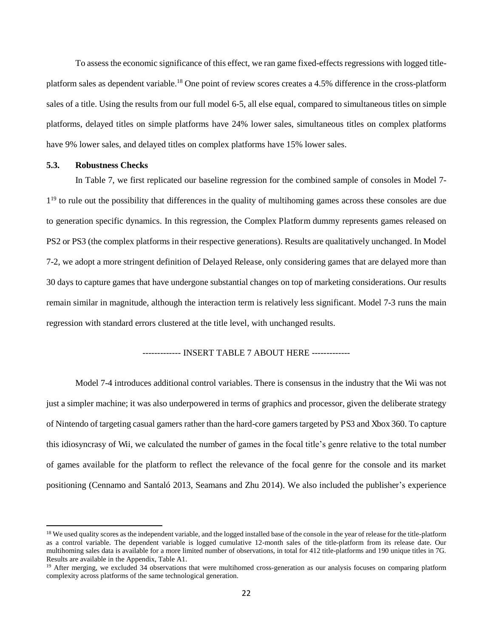To assess the economic significance of this effect, we ran game fixed-effects regressions with logged titleplatform sales as dependent variable.<sup>18</sup> One point of review scores creates a 4.5% difference in the cross-platform sales of a title. Using the results from our full model 6-5, all else equal, compared to simultaneous titles on simple platforms, delayed titles on simple platforms have 24% lower sales, simultaneous titles on complex platforms have 9% lower sales, and delayed titles on complex platforms have 15% lower sales.

#### **5.3. Robustness Checks**

 $\overline{a}$ 

In Table 7, we first replicated our baseline regression for the combined sample of consoles in Model 7- 1<sup>19</sup> to rule out the possibility that differences in the quality of multihoming games across these consoles are due to generation specific dynamics. In this regression, the Complex Platform dummy represents games released on PS2 or PS3 (the complex platforms in their respective generations). Results are qualitatively unchanged. In Model 7-2, we adopt a more stringent definition of Delayed Release, only considering games that are delayed more than 30 days to capture games that have undergone substantial changes on top of marketing considerations. Our results remain similar in magnitude, although the interaction term is relatively less significant. Model 7-3 runs the main regression with standard errors clustered at the title level, with unchanged results.

------------- INSERT TABLE 7 ABOUT HERE -------------

Model 7-4 introduces additional control variables. There is consensus in the industry that the Wii was not just a simpler machine; it was also underpowered in terms of graphics and processor, given the deliberate strategy of Nintendo of targeting casual gamers rather than the hard-core gamers targeted by PS3 and Xbox 360. To capture this idiosyncrasy of Wii, we calculated the number of games in the focal title's genre relative to the total number of games available for the platform to reflect the relevance of the focal genre for the console and its market positioning (Cennamo and Santaló 2013, Seamans and Zhu 2014). We also included the publisher's experience

<sup>&</sup>lt;sup>18</sup> We used quality scores as the independent variable, and the logged installed base of the console in the year of release for the title-platform as a control variable. The dependent variable is logged cumulative 12-month sales of the title-platform from its release date. Our multihoming sales data is available for a more limited number of observations, in total for 412 title-platforms and 190 unique titles in 7G. Results are available in the Appendix, Table A1.

 $19$  After merging, we excluded 34 observations that were multihomed cross-generation as our analysis focuses on comparing platform complexity across platforms of the same technological generation.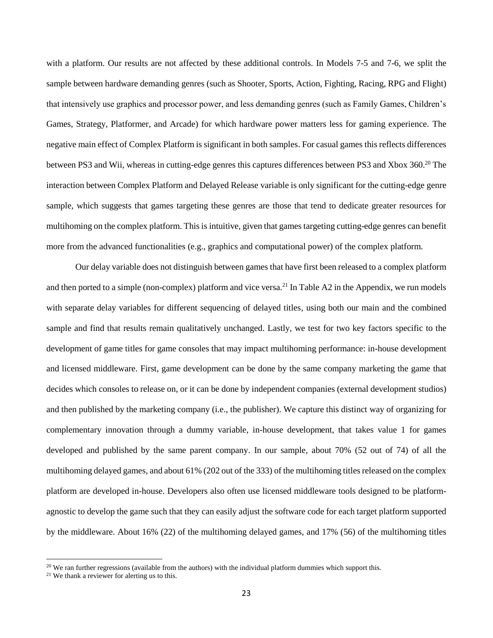with a platform. Our results are not affected by these additional controls. In Models 7-5 and 7-6, we split the sample between hardware demanding genres (such as Shooter, Sports, Action, Fighting, Racing, RPG and Flight) that intensively use graphics and processor power, and less demanding genres (such as Family Games, Children's Games, Strategy, Platformer, and Arcade) for which hardware power matters less for gaming experience. The negative main effect of Complex Platform is significant in both samples. For casual games this reflects differences between PS3 and Wii, whereas in cutting-edge genres this captures differences between PS3 and Xbox 360.<sup>20</sup> The interaction between Complex Platform and Delayed Release variable is only significant for the cutting-edge genre sample, which suggests that games targeting these genres are those that tend to dedicate greater resources for multihoming on the complex platform. This is intuitive, given that games targeting cutting-edge genres can benefit more from the advanced functionalities (e.g., graphics and computational power) of the complex platform.

Our delay variable does not distinguish between games that have first been released to a complex platform and then ported to a simple (non-complex) platform and vice versa.<sup>21</sup> In Table A2 in the Appendix, we run models with separate delay variables for different sequencing of delayed titles, using both our main and the combined sample and find that results remain qualitatively unchanged. Lastly, we test for two key factors specific to the development of game titles for game consoles that may impact multihoming performance: in-house development and licensed middleware. First, game development can be done by the same company marketing the game that decides which consoles to release on, or it can be done by independent companies (external development studios) and then published by the marketing company (i.e., the publisher). We capture this distinct way of organizing for complementary innovation through a dummy variable, in-house development, that takes value 1 for games developed and published by the same parent company. In our sample, about 70% (52 out of 74) of all the multihoming delayed games, and about 61% (202 out of the 333) of the multihoming titles released on the complex platform are developed in-house. Developers also often use licensed middleware tools designed to be platformagnostic to develop the game such that they can easily adjust the software code for each target platform supported by the middleware. About 16% (22) of the multihoming delayed games, and 17% (56) of the multihoming titles

l

<sup>&</sup>lt;sup>20</sup> We ran further regressions (available from the authors) with the individual platform dummies which support this.

<sup>&</sup>lt;sup>21</sup> We thank a reviewer for alerting us to this.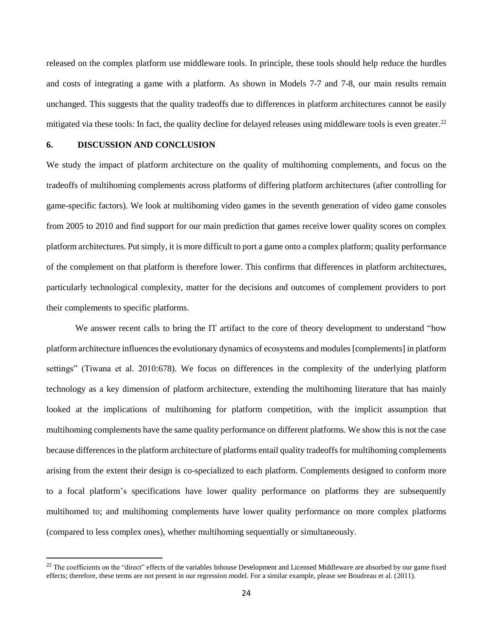released on the complex platform use middleware tools. In principle, these tools should help reduce the hurdles and costs of integrating a game with a platform. As shown in Models 7-7 and 7-8, our main results remain unchanged. This suggests that the quality tradeoffs due to differences in platform architectures cannot be easily mitigated via these tools: In fact, the quality decline for delayed releases using middleware tools is even greater. $^{22}$ 

#### **6. DISCUSSION AND CONCLUSION**

l

We study the impact of platform architecture on the quality of multihoming complements, and focus on the tradeoffs of multihoming complements across platforms of differing platform architectures (after controlling for game-specific factors). We look at multihoming video games in the seventh generation of video game consoles from 2005 to 2010 and find support for our main prediction that games receive lower quality scores on complex platform architectures. Put simply, it is more difficult to port a game onto a complex platform; quality performance of the complement on that platform is therefore lower. This confirms that differences in platform architectures, particularly technological complexity, matter for the decisions and outcomes of complement providers to port their complements to specific platforms.

We answer recent calls to bring the IT artifact to the core of theory development to understand "how platform architecture influences the evolutionary dynamics of ecosystems and modules [complements] in platform settings" (Tiwana et al. 2010:678). We focus on differences in the complexity of the underlying platform technology as a key dimension of platform architecture, extending the multihoming literature that has mainly looked at the implications of multihoming for platform competition, with the implicit assumption that multihoming complements have the same quality performance on different platforms. We show this is not the case because differences in the platform architecture of platforms entail quality tradeoffs for multihoming complements arising from the extent their design is co-specialized to each platform. Complements designed to conform more to a focal platform's specifications have lower quality performance on platforms they are subsequently multihomed to; and multihoming complements have lower quality performance on more complex platforms (compared to less complex ones), whether multihoming sequentially or simultaneously.

<sup>&</sup>lt;sup>22</sup> The coefficients on the "direct" effects of the variables Inhouse Development and Licensed Middleware are absorbed by our game fixed effects; therefore, these terms are not present in our regression model. For a similar example, please see Boudreau et al. (2011).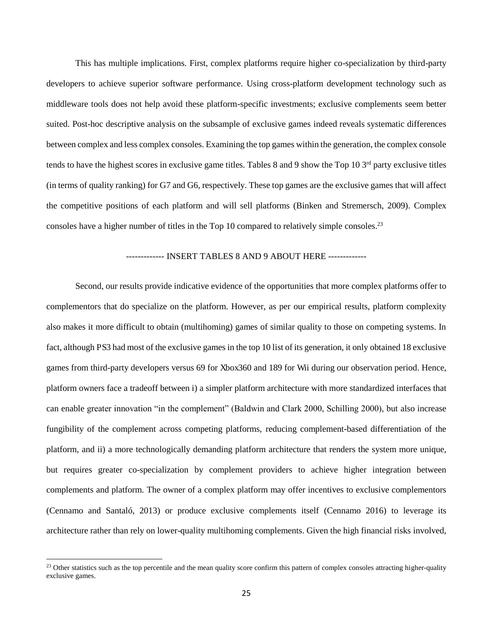This has multiple implications. First, complex platforms require higher co-specialization by third-party developers to achieve superior software performance. Using cross-platform development technology such as middleware tools does not help avoid these platform-specific investments; exclusive complements seem better suited. Post-hoc descriptive analysis on the subsample of exclusive games indeed reveals systematic differences between complex and less complex consoles. Examining the top games within the generation, the complex console tends to have the highest scores in exclusive game titles. Tables 8 and 9 show the Top 10  $3<sup>rd</sup>$  party exclusive titles (in terms of quality ranking) for G7 and G6, respectively. These top games are the exclusive games that will affect the competitive positions of each platform and will sell platforms (Binken and Stremersch, 2009). Complex consoles have a higher number of titles in the Top 10 compared to relatively simple consoles.<sup>23</sup>

#### ------------- INSERT TABLES 8 AND 9 ABOUT HERE -------------

Second, our results provide indicative evidence of the opportunities that more complex platforms offer to complementors that do specialize on the platform. However, as per our empirical results, platform complexity also makes it more difficult to obtain (multihoming) games of similar quality to those on competing systems. In fact, although PS3 had most of the exclusive games in the top 10 list of its generation, it only obtained 18 exclusive games from third-party developers versus 69 for Xbox360 and 189 for Wii during our observation period. Hence, platform owners face a tradeoff between i) a simpler platform architecture with more standardized interfaces that can enable greater innovation "in the complement" (Baldwin and Clark 2000, Schilling 2000), but also increase fungibility of the complement across competing platforms, reducing complement-based differentiation of the platform, and ii) a more technologically demanding platform architecture that renders the system more unique, but requires greater co-specialization by complement providers to achieve higher integration between complements and platform. The owner of a complex platform may offer incentives to exclusive complementors (Cennamo and Santaló, 2013) or produce exclusive complements itself (Cennamo 2016) to leverage its architecture rather than rely on lower-quality multihoming complements. Given the high financial risks involved,

l

<sup>&</sup>lt;sup>23</sup> Other statistics such as the top percentile and the mean quality score confirm this pattern of complex consoles attracting higher-quality exclusive games.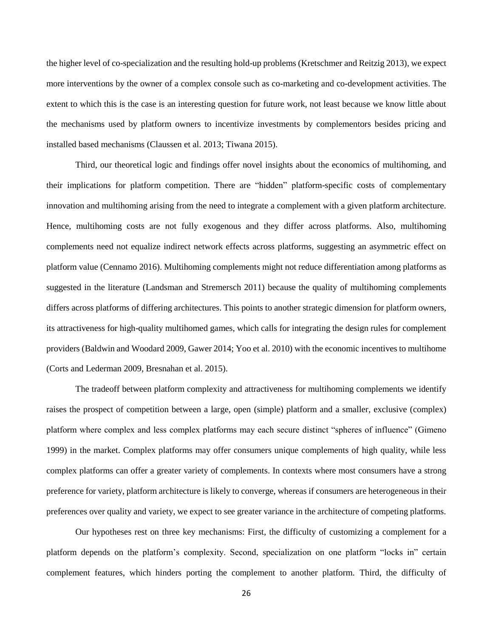the higher level of co-specialization and the resulting hold-up problems (Kretschmer and Reitzig 2013), we expect more interventions by the owner of a complex console such as co-marketing and co-development activities. The extent to which this is the case is an interesting question for future work, not least because we know little about the mechanisms used by platform owners to incentivize investments by complementors besides pricing and installed based mechanisms (Claussen et al. 2013; Tiwana 2015).

Third, our theoretical logic and findings offer novel insights about the economics of multihoming, and their implications for platform competition. There are "hidden" platform-specific costs of complementary innovation and multihoming arising from the need to integrate a complement with a given platform architecture. Hence, multihoming costs are not fully exogenous and they differ across platforms. Also, multihoming complements need not equalize indirect network effects across platforms, suggesting an asymmetric effect on platform value (Cennamo 2016). Multihoming complements might not reduce differentiation among platforms as suggested in the literature (Landsman and Stremersch 2011) because the quality of multihoming complements differs across platforms of differing architectures. This points to another strategic dimension for platform owners, its attractiveness for high-quality multihomed games, which calls for integrating the design rules for complement providers (Baldwin and Woodard 2009, Gawer 2014; Yoo et al. 2010) with the economic incentives to multihome (Corts and Lederman 2009, Bresnahan et al. 2015).

The tradeoff between platform complexity and attractiveness for multihoming complements we identify raises the prospect of competition between a large, open (simple) platform and a smaller, exclusive (complex) platform where complex and less complex platforms may each secure distinct "spheres of influence" (Gimeno 1999) in the market. Complex platforms may offer consumers unique complements of high quality, while less complex platforms can offer a greater variety of complements. In contexts where most consumers have a strong preference for variety, platform architecture is likely to converge, whereas if consumers are heterogeneous in their preferences over quality and variety, we expect to see greater variance in the architecture of competing platforms.

Our hypotheses rest on three key mechanisms: First, the difficulty of customizing a complement for a platform depends on the platform's complexity. Second, specialization on one platform "locks in" certain complement features, which hinders porting the complement to another platform. Third, the difficulty of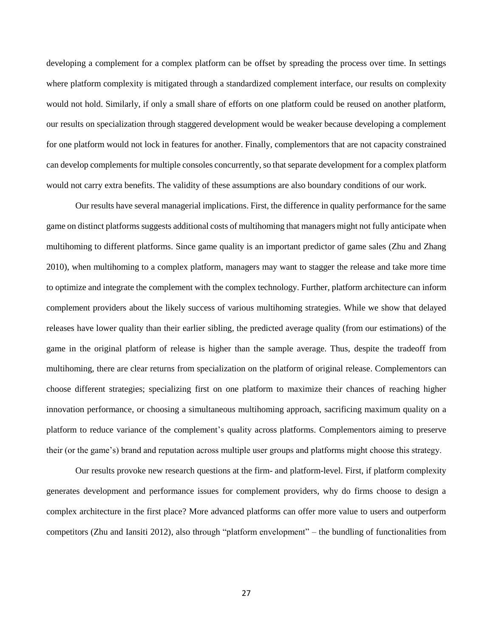developing a complement for a complex platform can be offset by spreading the process over time. In settings where platform complexity is mitigated through a standardized complement interface, our results on complexity would not hold. Similarly, if only a small share of efforts on one platform could be reused on another platform, our results on specialization through staggered development would be weaker because developing a complement for one platform would not lock in features for another. Finally, complementors that are not capacity constrained can develop complements for multiple consoles concurrently, so that separate development for a complex platform would not carry extra benefits. The validity of these assumptions are also boundary conditions of our work.

Our results have several managerial implications. First, the difference in quality performance for the same game on distinct platforms suggests additional costs of multihoming that managers might not fully anticipate when multihoming to different platforms. Since game quality is an important predictor of game sales (Zhu and Zhang 2010), when multihoming to a complex platform, managers may want to stagger the release and take more time to optimize and integrate the complement with the complex technology. Further, platform architecture can inform complement providers about the likely success of various multihoming strategies. While we show that delayed releases have lower quality than their earlier sibling, the predicted average quality (from our estimations) of the game in the original platform of release is higher than the sample average. Thus, despite the tradeoff from multihoming, there are clear returns from specialization on the platform of original release. Complementors can choose different strategies; specializing first on one platform to maximize their chances of reaching higher innovation performance, or choosing a simultaneous multihoming approach, sacrificing maximum quality on a platform to reduce variance of the complement's quality across platforms. Complementors aiming to preserve their (or the game's) brand and reputation across multiple user groups and platforms might choose this strategy.

Our results provoke new research questions at the firm- and platform-level. First, if platform complexity generates development and performance issues for complement providers, why do firms choose to design a complex architecture in the first place? More advanced platforms can offer more value to users and outperform competitors (Zhu and Iansiti 2012), also through "platform envelopment" – the bundling of functionalities from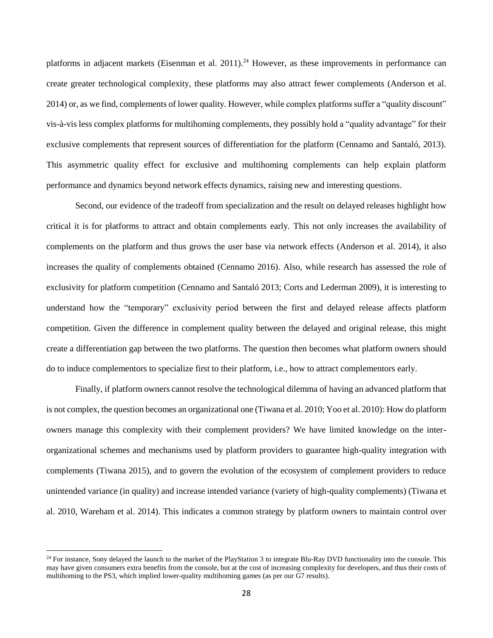platforms in adjacent markets (Eisenman et al.  $2011$ ).<sup>24</sup> However, as these improvements in performance can create greater technological complexity, these platforms may also attract fewer complements (Anderson et al. 2014) or, as we find, complements of lower quality. However, while complex platforms suffer a "quality discount" vis-à-vis less complex platforms for multihoming complements, they possibly hold a "quality advantage" for their exclusive complements that represent sources of differentiation for the platform (Cennamo and Santaló, 2013). This asymmetric quality effect for exclusive and multihoming complements can help explain platform performance and dynamics beyond network effects dynamics, raising new and interesting questions.

Second, our evidence of the tradeoff from specialization and the result on delayed releases highlight how critical it is for platforms to attract and obtain complements early. This not only increases the availability of complements on the platform and thus grows the user base via network effects (Anderson et al. 2014), it also increases the quality of complements obtained (Cennamo 2016). Also, while research has assessed the role of exclusivity for platform competition (Cennamo and Santaló 2013; Corts and Lederman 2009), it is interesting to understand how the "temporary" exclusivity period between the first and delayed release affects platform competition. Given the difference in complement quality between the delayed and original release, this might create a differentiation gap between the two platforms. The question then becomes what platform owners should do to induce complementors to specialize first to their platform, i.e., how to attract complementors early.

Finally, if platform owners cannot resolve the technological dilemma of having an advanced platform that is not complex, the question becomes an organizational one (Tiwana et al. 2010; Yoo et al. 2010): How do platform owners manage this complexity with their complement providers? We have limited knowledge on the interorganizational schemes and mechanisms used by platform providers to guarantee high-quality integration with complements (Tiwana 2015), and to govern the evolution of the ecosystem of complement providers to reduce unintended variance (in quality) and increase intended variance (variety of high-quality complements) (Tiwana et al. 2010, Wareham et al. 2014). This indicates a common strategy by platform owners to maintain control over

 $\overline{a}$ 

<sup>&</sup>lt;sup>24</sup> For instance, Sony delayed the launch to the market of the PlayStation 3 to integrate Blu-Ray DVD functionality into the console. This may have given consumers extra benefits from the console, but at the cost of increasing complexity for developers, and thus their costs of multihoming to the PS3, which implied lower-quality multihoming games (as per our G7 results).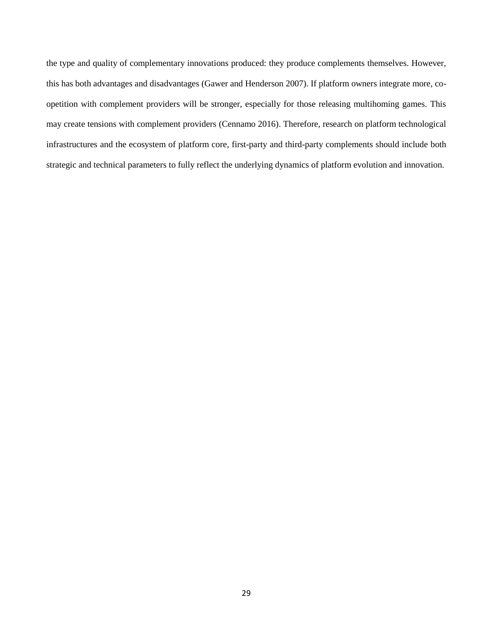the type and quality of complementary innovations produced: they produce complements themselves. However, this has both advantages and disadvantages (Gawer and Henderson 2007). If platform owners integrate more, coopetition with complement providers will be stronger, especially for those releasing multihoming games. This may create tensions with complement providers (Cennamo 2016). Therefore, research on platform technological infrastructures and the ecosystem of platform core, first-party and third-party complements should include both strategic and technical parameters to fully reflect the underlying dynamics of platform evolution and innovation.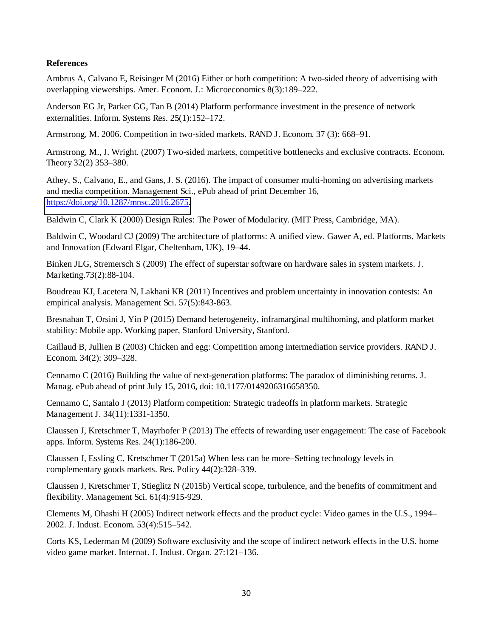## **References**

Ambrus A, Calvano E, Reisinger M (2016) Either or both competition: A two-sided theory of advertising with overlapping viewerships. Amer. Econom. J.: Microeconomics 8(3):189–222.

Anderson EG Jr, Parker GG, Tan B (2014) Platform performance investment in the presence of network externalities. Inform. Systems Res. 25(1):152–172.

Armstrong, M. 2006. Competition in two-sided markets. RAND J. Econom. 37 (3): 668–91.

Armstrong, M., J. Wright. (2007) Two-sided markets, competitive bottlenecks and exclusive contracts. Econom. Theory 32(2) 353–380.

Athey, S., Calvano, E., and Gans, J. S. (2016). The impact of consumer multi-homing on advertising markets and media competition. Management Sci., ePub ahead of print December 16, [https://doi.org/10.1287/mnsc.2016.2675.](https://doi.org/10.1287/mnsc.2016.2675)

Baldwin C, Clark K (2000) Design Rules: The Power of Modularity. (MIT Press, Cambridge, MA).

Baldwin C, Woodard CJ (2009) The architecture of platforms: A unified view. Gawer A, ed. Platforms, Markets and Innovation (Edward Elgar, Cheltenham, UK), 19–44.

Binken JLG, Stremersch S (2009) The effect of superstar software on hardware sales in system markets. J. Marketing.73(2):88-104.

Boudreau KJ, Lacetera N, Lakhani KR (2011) Incentives and problem uncertainty in innovation contests: An empirical analysis. Management Sci. 57(5):843-863.

Bresnahan T, Orsini J, Yin P (2015) Demand heterogeneity, inframarginal multihoming, and platform market stability: Mobile app. Working paper, Stanford University, Stanford.

Caillaud B, Jullien B (2003) Chicken and egg: Competition among intermediation service providers. RAND J. Econom. 34(2): 309–328.

Cennamo C (2016) Building the value of next-generation platforms: The paradox of diminishing returns. J. Manag. ePub ahead of print July 15, 2016, doi: 10.1177/0149206316658350.

Cennamo C, Santalo J (2013) Platform competition: Strategic tradeoffs in platform markets. Strategic Management J. 34(11):1331-1350.

Claussen J, Kretschmer T, Mayrhofer P (2013) The effects of rewarding user engagement: The case of Facebook apps. Inform. Systems Res. 24(1):186-200.

Claussen J, Essling C, Kretschmer T (2015a) When less can be more–Setting technology levels in complementary goods markets. Res. Policy 44(2):328–339.

Claussen J, Kretschmer T, Stieglitz N (2015b) Vertical scope, turbulence, and the benefits of commitment and flexibility. Management Sci. 61(4):915-929.

Clements M, Ohashi H (2005) Indirect network effects and the product cycle: Video games in the U.S., 1994– 2002. J. Indust. Econom. 53(4):515–542.

Corts KS, Lederman M (2009) Software exclusivity and the scope of indirect network effects in the U.S. home video game market. Internat. J. Indust. Organ. 27:121–136.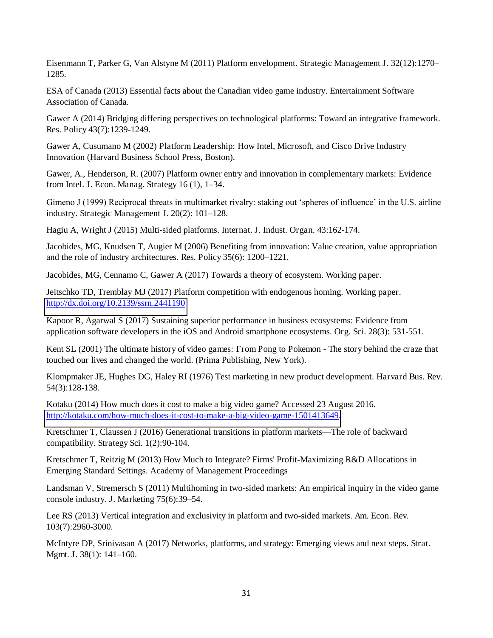Eisenmann T, Parker G, Van Alstyne M (2011) Platform envelopment. Strategic Management J. 32(12):1270– 1285.

ESA of Canada (2013) Essential facts about the Canadian video game industry. Entertainment Software Association of Canada.

Gawer A (2014) Bridging differing perspectives on technological platforms: Toward an integrative framework. Res. Policy 43(7):1239-1249.

Gawer A, Cusumano M (2002) Platform Leadership: How Intel, Microsoft, and Cisco Drive Industry Innovation (Harvard Business School Press, Boston).

Gawer, A., Henderson, R. (2007) Platform owner entry and innovation in complementary markets: Evidence from Intel. J. Econ. Manag. Strategy 16 (1), 1–34.

Gimeno J (1999) Reciprocal threats in multimarket rivalry: staking out 'spheres of influence' in the U.S. airline industry. Strategic Management J. 20(2): 101–128.

Hagiu A, Wright J (2015) Multi-sided platforms. Internat. J. Indust. Organ. 43:162-174.

Jacobides, MG, Knudsen T, Augier M (2006) Benefiting from innovation: Value creation, value appropriation and the role of industry architectures. Res. Policy 35(6): 1200–1221.

Jacobides, MG, Cennamo C, Gawer A (2017) Towards a theory of ecosystem. Working paper.

Jeitschko TD, Tremblay MJ (2017) Platform competition with endogenous homing. Working paper. <http://dx.doi.org/10.2139/ssrn.2441190>

Kapoor R, Agarwal S (2017) Sustaining superior performance in business ecosystems: Evidence from application software developers in the iOS and Android smartphone ecosystems. Org. Sci. 28(3): 531-551.

Kent SL (2001) The ultimate history of video games: From Pong to Pokemon - The story behind the craze that touched our lives and changed the world. (Prima Publishing, New York).

Klompmaker JE, Hughes DG, Haley RI (1976) Test marketing in new product development. Harvard Bus. Rev. 54(3):128-138.

Kotaku (2014) How much does it cost to make a big video game? Accessed 23 August 2016. [http://kotaku.com/how-much-does-it-cost-to-make-a-big-video-game-1501413649.](http://kotaku.com/how-much-does-it-cost-to-make-a-big-video-game-1501413649)

Kretschmer T, Claussen J (2016) Generational transitions in platform markets—The role of backward compatibility. Strategy Sci. 1(2):90-104.

Kretschmer T, Reitzig M (2013) How Much to Integrate? Firms' Profit-Maximizing R&D Allocations in Emerging Standard Settings. Academy of Management Proceedings

Landsman V, Stremersch S (2011) Multihoming in two-sided markets: An empirical inquiry in the video game console industry. J. Marketing 75(6):39–54.

Lee RS (2013) Vertical integration and exclusivity in platform and two-sided markets. Am. Econ. Rev. 103(7):2960-3000.

McIntyre DP, Srinivasan A (2017) Networks, platforms, and strategy: Emerging views and next steps. Strat. Mgmt. J. 38(1): 141–160.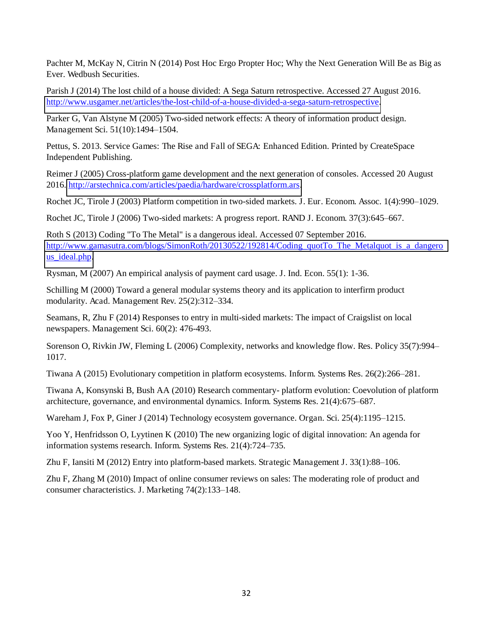Pachter M, McKay N, Citrin N (2014) Post Hoc Ergo Propter Hoc; Why the Next Generation Will Be as Big as Ever. Wedbush Securities.

Parish J (2014) The lost child of a house divided: A Sega Saturn retrospective. Accessed 27 August 2016. [http://www.usgamer.net/articles/the-lost-child-of-a-house-divided-a-sega-saturn-retrospective.](http://www.usgamer.net/articles/the-lost-child-of-a-house-divided-a-sega-saturn-retrospective)

Parker G, Van Alstyne M (2005) Two-sided network effects: A theory of information product design. Management Sci. 51(10):1494–1504.

Pettus, S. 2013. Service Games: The Rise and Fall of SEGA: Enhanced Edition. Printed by CreateSpace Independent Publishing.

Reimer J (2005) Cross-platform game development and the next generation of consoles. Accessed 20 August 2016. [http://arstechnica.com/articles/paedia/hardware/crossplatform.ars.](http://arstechnica.com/articles/paedia/hardware/crossplatform.ars)

Rochet JC, Tirole J (2003) Platform competition in two-sided markets. J. Eur. Econom. Assoc. 1(4):990–1029.

Rochet JC, Tirole J (2006) Two-sided markets: A progress report. RAND J. Econom. 37(3):645–667.

Roth S (2013) Coding "To The Metal" is a dangerous ideal. Accessed 07 September 2016. [http://www.gamasutra.com/blogs/SimonRoth/20130522/192814/Coding\\_quotTo\\_The\\_Metalquot\\_is\\_a\\_dangero](http://www.gamasutra.com/blogs/SimonRoth/20130522/192814/Coding_quotTo_The_Metalquot_is_a_dangerous_ideal.php) [us\\_ideal.php.](http://www.gamasutra.com/blogs/SimonRoth/20130522/192814/Coding_quotTo_The_Metalquot_is_a_dangerous_ideal.php)

Rysman, M (2007) An empirical analysis of payment card usage. J. Ind. Econ. 55(1): 1-36.

Schilling M (2000) Toward a general modular systems theory and its application to interfirm product modularity. Acad. Management Rev. 25(2):312–334.

Seamans, R, Zhu F (2014) Responses to entry in multi-sided markets: The impact of Craigslist on local newspapers. Management Sci. 60(2): 476-493.

Sorenson O, Rivkin JW, Fleming L (2006) Complexity, networks and knowledge flow. Res. Policy 35(7):994– 1017.

Tiwana A (2015) Evolutionary competition in platform ecosystems. Inform. Systems Res. 26(2):266–281.

Tiwana A, Konsynski B, Bush AA (2010) Research commentary- platform evolution: Coevolution of platform architecture, governance, and environmental dynamics. Inform. Systems Res. 21(4):675–687.

Wareham J, Fox P, Giner J (2014) Technology ecosystem governance. Organ. Sci. 25(4):1195–1215.

Yoo Y, Henfridsson O, Lyytinen K (2010) The new organizing logic of digital innovation: An agenda for information systems research. Inform. Systems Res. 21(4):724–735.

Zhu F, Iansiti M (2012) Entry into platform-based markets. Strategic Management J. 33(1):88–106.

Zhu F, Zhang M (2010) Impact of online consumer reviews on sales: The moderating role of product and consumer characteristics. J. Marketing 74(2):133–148.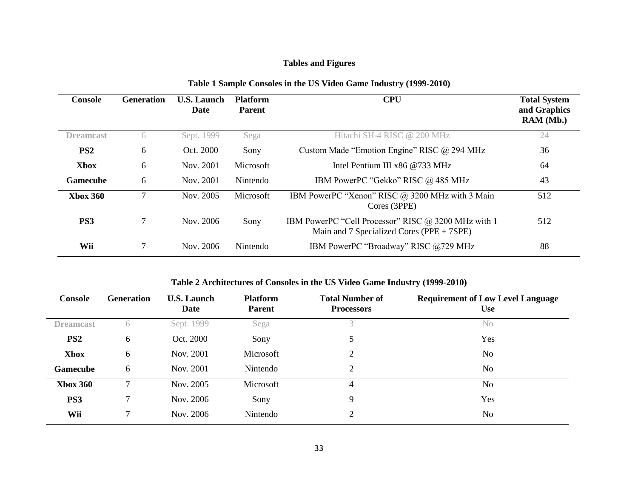## **Tables and Figures**

| Table 1 Sample Consoles in the US Video Game Industry (1999-2010) |
|-------------------------------------------------------------------|
|-------------------------------------------------------------------|

| <b>Console</b>   | <b>Generation</b> | <b>U.S. Launch</b><br>Date | <b>Platform</b><br><b>Parent</b> | <b>CPU</b>                                                                                       | <b>Total System</b><br>and Graphics<br>RAM (Mb.) |
|------------------|-------------------|----------------------------|----------------------------------|--------------------------------------------------------------------------------------------------|--------------------------------------------------|
| <b>Dreamcast</b> | 6                 | Sept. 1999                 | Sega                             | Hitachi SH-4 RISC @ 200 MHz                                                                      | 24                                               |
| PS <sub>2</sub>  | 6                 | Oct. 2000                  | Sony                             | Custom Made "Emotion Engine" RISC @ 294 MHz                                                      | 36                                               |
| Xbox             | 6                 | Nov. 2001                  | Microsoft                        | Intel Pentium III $x86@733 \text{ MHz}$                                                          | 64                                               |
| <b>Gamecube</b>  | 6                 | Nov. 2001                  | Nintendo                         | IBM PowerPC "Gekko" RISC @ 485 MHz                                                               | 43                                               |
| <b>Xbox 360</b>  | 7                 | Nov. 2005                  | Microsoft                        | IBM PowerPC "Xenon" RISC @ 3200 MHz with 3 Main<br>Cores (3PPE)                                  | 512                                              |
| PS <sub>3</sub>  | 7                 | Nov. 2006                  | Sony                             | IBM PowerPC "Cell Processor" RISC @ 3200 MHz with 1<br>Main and 7 Specialized Cores (PPE + 7SPE) | 512                                              |
| Wii              | 7                 | Nov. 2006                  | Nintendo                         | IBM PowerPC "Broadway" RISC @729 MHz                                                             | 88                                               |

**Table 2 Architectures of Consoles in the US Video Game Industry (1999-2010)** 

| <b>Console</b>   | <b>Generation</b> | <b>U.S. Launch</b><br>Date | <b>Platform</b><br><b>Parent</b> | <b>Total Number of</b><br><b>Processors</b> | <b>Requirement of Low Level Language</b><br><b>Use</b> |
|------------------|-------------------|----------------------------|----------------------------------|---------------------------------------------|--------------------------------------------------------|
| <b>Dreamcast</b> | h.                | Sept. 1999                 | Sega                             |                                             | N <sub>o</sub>                                         |
| PS <sub>2</sub>  | 6                 | Oct. 2000                  | Sony                             | 5                                           | Yes                                                    |
| <b>Xbox</b>      | 6                 | Nov. 2001                  | Microsoft                        | 2                                           | No                                                     |
| <b>Gamecube</b>  | 6                 | Nov. 2001                  | Nintendo                         | 2                                           | N <sub>o</sub>                                         |
| <b>Xbox 360</b>  |                   | Nov. 2005                  | Microsoft                        | $\overline{4}$                              | No                                                     |
| PS <sub>3</sub>  | $\tau$            | Nov. 2006                  | Sony                             | 9                                           | Yes                                                    |
| Wii              | $\tau$            | Nov. 2006                  | Nintendo                         | 2                                           | No                                                     |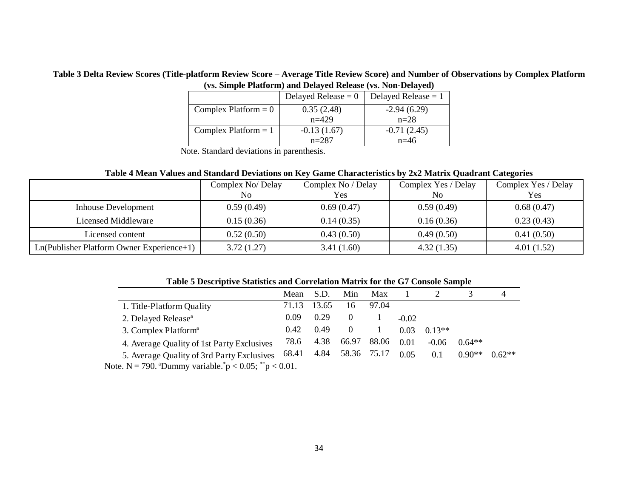| Table 3 Delta Review Scores (Title-platform Review Score – Average Title Review Score) and Number of Observations by Complex Platform |
|---------------------------------------------------------------------------------------------------------------------------------------|
| (vs. Simple Platform) and Delayed Release (vs. Non-Delayed)                                                                           |

|                        | Delayed Release $= 0$ | Delayed Release $= 1$ |
|------------------------|-----------------------|-----------------------|
| Complex Platform $= 0$ | 0.35(2.48)            | $-2.94(6.29)$         |
|                        | $n=429$               | $n=28$                |
| Complex Platform $= 1$ | $-0.13(1.67)$         | $-0.71(2.45)$         |
|                        | $n = 287$             | $n=46$                |

Note. Standard deviations in parenthesis.

**Table 4 Mean Values and Standard Deviations on Key Game Characteristics by 2x2 Matrix Quadrant Categories** 

|                                           | Complex No/ Delay<br>No | Complex No / Delay<br>Yes | Complex Yes / Delay<br>N <sub>0</sub> | Complex Yes / Delay<br>Yes |
|-------------------------------------------|-------------------------|---------------------------|---------------------------------------|----------------------------|
| Inhouse Development                       | 0.59(0.49)              | 0.69(0.47)                | 0.59(0.49)                            | 0.68(0.47)                 |
| Licensed Middleware                       | 0.15(0.36)              | 0.14(0.35)                | 0.16(0.36)                            | 0.23(0.43)                 |
| Licensed content                          | 0.52(0.50)              | 0.43(0.50)                | 0.49(0.50)                            | 0.41(0.50)                 |
| Ln(Publisher Platform Owner Experience+1) | 3.72(1.27)              | 3.41(1.60)                | 4.32(1.35)                            | 4.01(1.52)                 |

| Table 5 Descriptive Statistics and Correlation Matrix for the G7 Console Sample |  |  |
|---------------------------------------------------------------------------------|--|--|
|---------------------------------------------------------------------------------|--|--|

|                                            | Mean  | S.D.  | Min         | Max   |         |          |          | 4        |
|--------------------------------------------|-------|-------|-------------|-------|---------|----------|----------|----------|
| 1. Title-Platform Quality                  | 71.13 | 13.65 | 16          | 97.04 |         |          |          |          |
| 2. Delayed Release <sup>a</sup>            | 0.09  | 0.29  |             |       | $-0.02$ |          |          |          |
| 3. Complex Platform <sup>a</sup>           | 0.42  | 0.49  | $\theta$    |       | 0.03    | $0.13**$ |          |          |
| 4. Average Quality of 1st Party Exclusives | 78.6  | 4.38  | 66.97       | 88.06 | 0.01    | $-0.06$  | $0.64**$ |          |
| 5. Average Quality of 3rd Party Exclusives | 68.41 | 4.84  | 58.36 75.17 |       | 0.05    | 0.1      | $0.90**$ | $0.62**$ |

Note. N = 790. <sup>a</sup>Dummy variable.  $p < 0.05$ ;  $\binom{4}{3} < 0.01$ .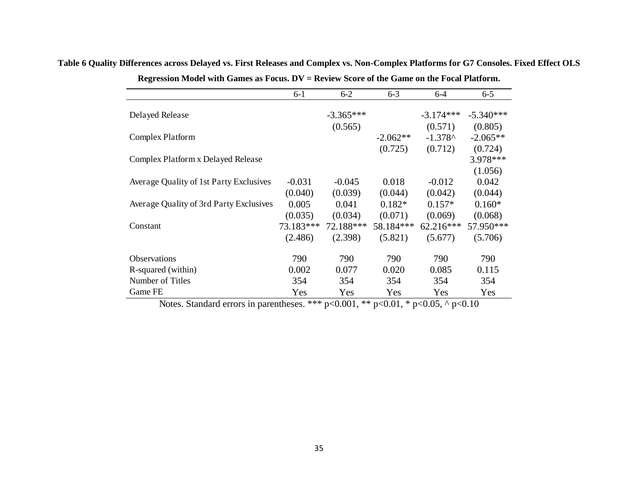|                                         | $6-1$     | $6 - 2$     | $6 - 3$    | $6-4$       | $6 - 5$     |
|-----------------------------------------|-----------|-------------|------------|-------------|-------------|
| Delayed Release                         |           | $-3.365***$ |            | $-3.174***$ | $-5.340***$ |
|                                         |           | (0.565)     |            | (0.571)     | (0.805)     |
| Complex Platform                        |           |             | $-2.062**$ | $-1.378^$   | $-2.065**$  |
|                                         |           |             | (0.725)    | (0.712)     | (0.724)     |
| Complex Platform x Delayed Release      |           |             |            |             | 3.978***    |
|                                         |           |             |            |             | (1.056)     |
| Average Quality of 1st Party Exclusives | $-0.031$  | $-0.045$    | 0.018      | $-0.012$    | 0.042       |
|                                         | (0.040)   | (0.039)     | (0.044)    | (0.042)     | (0.044)     |
| Average Quality of 3rd Party Exclusives | 0.005     | 0.041       | $0.182*$   | $0.157*$    | $0.160*$    |
|                                         | (0.035)   | (0.034)     | (0.071)    | (0.069)     | (0.068)     |
| Constant                                | 73.183*** | 72.188***   | 58.184***  | $62.216***$ | 57.950***   |
|                                         | (2.486)   | (2.398)     | (5.821)    | (5.677)     | (5.706)     |
|                                         |           |             |            |             |             |
| <b>Observations</b>                     | 790       | 790         | 790        | 790         | 790         |
| R-squared (within)                      | 0.002     | 0.077       | 0.020      | 0.085       | 0.115       |
| Number of Titles                        | 354       | 354         | 354        | 354         | 354         |
| Game FE                                 | Yes       | Yes         | Yes        | Yes         | Yes         |

**Table 6 Quality Differences across Delayed vs. First Releases and Complex vs. Non-Complex Platforms for G7 Consoles. Fixed Effect OLS Regression Model with Games as Focus. DV = Review Score of the Game on the Focal Platform.** 

Notes. Standard errors in parentheses. \*\*\* p<0.001, \*\* p<0.01, \* p<0.05, ^ p<0.10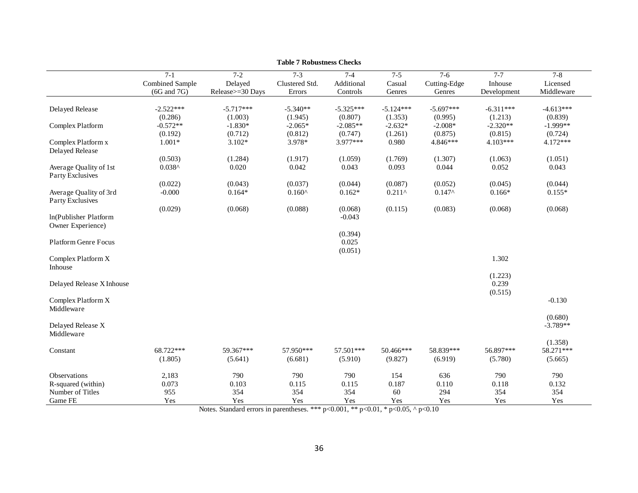|                             | $7-1$            | $7 - 2$          | $7 - 3$         | $7-4$       | $7 - 5$          | $7-6$        | $7 - 7$     | $7 - 8$     |
|-----------------------------|------------------|------------------|-----------------|-------------|------------------|--------------|-------------|-------------|
|                             | Combined Sample  | Delayed          | Clustered Std.  | Additional  | Casual           | Cutting-Edge | Inhouse     | Licensed    |
|                             | $(6G$ and $7G)$  | Release>=30 Days | Errors          | Controls    | Genres           | Genres       | Development | Middleware  |
|                             |                  |                  |                 |             |                  |              |             |             |
| Delayed Release             | $-2.522***$      | $-5.717***$      | $-5.340**$      | $-5.325***$ | $-5.124***$      | $-5.697***$  | $-6.311***$ | $-4.613***$ |
|                             | (0.286)          | (1.003)          | (1.945)         | (0.807)     | (1.353)          | (0.995)      | (1.213)     | (0.839)     |
| Complex Platform            | $-0.572**$       | $-1.830*$        | $-2.065*$       | $-2.085**$  | $-2.632*$        | $-2.008*$    | $-2.320**$  | $-1.999**$  |
|                             | (0.192)          | (0.712)          | (0.812)         | (0.747)     | (1.261)          | (0.875)      | (0.815)     | (0.724)     |
| Complex Platform x          | $1.001*$         | $3.102*$         | 3.978*          | 3.977***    | 0.980            | 4.846***     | $4.103***$  | 4.172***    |
| Delayed Release             |                  |                  |                 |             |                  |              |             |             |
|                             | (0.503)          | (1.284)          | (1.917)         | (1.059)     | (1.769)          | (1.307)      | (1.063)     | (1.051)     |
| Average Quality of 1st      | $0.038^{\wedge}$ | 0.020            | 0.042           | 0.043       | 0.093            | 0.044        | 0.052       | 0.043       |
| Party Exclusives            |                  |                  |                 |             |                  |              |             |             |
|                             | (0.022)          | (0.043)          | (0.037)         | (0.044)     | (0.087)          | (0.052)      | (0.045)     | (0.044)     |
| Average Quality of 3rd      | $-0.000$         | $0.164*$         | $0.160^{\circ}$ | $0.162*$    | $0.211^{\wedge}$ | $0.147^$     | $0.166*$    | $0.155*$    |
| Party Exclusives            |                  |                  |                 |             |                  |              |             |             |
|                             | (0.029)          | (0.068)          | (0.088)         | (0.068)     | (0.115)          | (0.083)      | (0.068)     | (0.068)     |
| In(Publisher Platform       |                  |                  |                 | $-0.043$    |                  |              |             |             |
| Owner Experience)           |                  |                  |                 |             |                  |              |             |             |
|                             |                  |                  |                 | (0.394)     |                  |              |             |             |
| <b>Platform Genre Focus</b> |                  |                  |                 | 0.025       |                  |              |             |             |
| Complex Platform X          |                  |                  |                 | (0.051)     |                  |              | 1.302       |             |
| Inhouse                     |                  |                  |                 |             |                  |              |             |             |
|                             |                  |                  |                 |             |                  |              | (1.223)     |             |
| Delayed Release X Inhouse   |                  |                  |                 |             |                  |              | 0.239       |             |
|                             |                  |                  |                 |             |                  |              | (0.515)     |             |
| Complex Platform X          |                  |                  |                 |             |                  |              |             | $-0.130$    |
| Middleware                  |                  |                  |                 |             |                  |              |             |             |
|                             |                  |                  |                 |             |                  |              |             | (0.680)     |
| Delayed Release X           |                  |                  |                 |             |                  |              |             | $-3.789**$  |
| Middleware                  |                  |                  |                 |             |                  |              |             |             |
|                             |                  |                  |                 |             |                  |              |             | (1.358)     |
| Constant                    | 68.722***        | 59.367***        | 57.950***       | 57.501***   | 50.466***        | 58.839***    | 56.897***   | 58.271***   |
|                             | (1.805)          | (5.641)          | (6.681)         | (5.910)     | (9.827)          | (6.919)      | (5.780)     | (5.665)     |
| <b>Observations</b>         | 2,183            | 790              | 790             | 790         | 154              | 636          | 790         | 790         |
| R-squared (within)          | 0.073            | 0.103            | 0.115           | 0.115       | 0.187            | 0.110        | 0.118       | 0.132       |
| Number of Titles            | 955              | 354              | 354             | 354         | 60               | 294          | 354         | 354         |
| Game FE                     | Yes              | Yes              | Yes             | Yes         | Yes              | Yes          | Yes         | Yes         |

**Table 7 Robustness Checks** 

Notes. Standard errors in parentheses. \*\*\* p<0.001, \*\* p<0.01, \* p<0.05, ^ p<0.10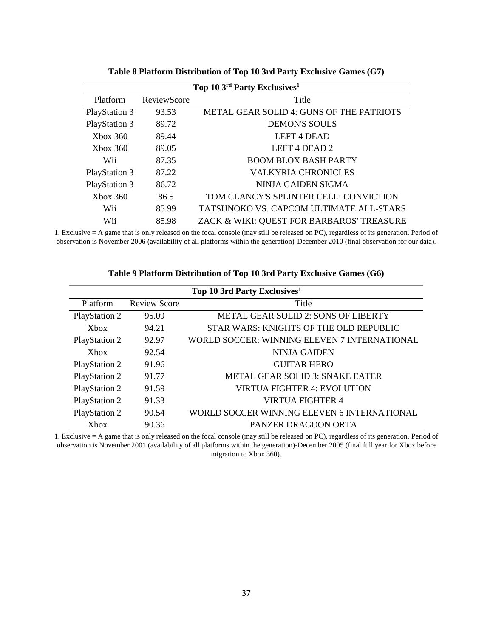| Top 10 3rd Party Exclusives <sup>1</sup> |             |                                                 |  |  |  |  |  |
|------------------------------------------|-------------|-------------------------------------------------|--|--|--|--|--|
| Platform                                 | ReviewScore | Title                                           |  |  |  |  |  |
| <b>PlayStation 3</b>                     | 93.53       | <b>METAL GEAR SOLID 4: GUNS OF THE PATRIOTS</b> |  |  |  |  |  |
| <b>PlayStation 3</b>                     | 89.72       | <b>DEMON'S SOULS</b>                            |  |  |  |  |  |
| $X$ hox 360                              | 89.44       | <b>LEFT 4 DEAD</b>                              |  |  |  |  |  |
| $X$ hox 360                              | 89.05       | LEFT 4 DEAD 2                                   |  |  |  |  |  |
| Wii                                      | 87.35       | <b>BOOM BLOX BASH PARTY</b>                     |  |  |  |  |  |
| <b>PlayStation 3</b>                     | 87.22       | VALKYRIA CHRONICLES                             |  |  |  |  |  |
| <b>PlayStation 3</b>                     | 86.72       | NINJA GAIDEN SIGMA                              |  |  |  |  |  |
| $X$ box 360                              | 86.5        | TOM CLANCY'S SPLINTER CELL: CONVICTION          |  |  |  |  |  |
| Wii                                      | 85.99       | TATSUNOKO VS. CAPCOM ULTIMATE ALL-STARS         |  |  |  |  |  |
| Wii                                      | 85.98       | ZACK & WIKI: QUEST FOR BARBAROS' TREASURE       |  |  |  |  |  |

## **Table 8 Platform Distribution of Top 10 3rd Party Exclusive Games (G7)**

1. Exclusive = A game that is only released on the focal console (may still be released on PC), regardless of its generation. Period of observation is November 2006 (availability of all platforms within the generation)-December 2010 (final observation for our data).

| Top 10 3rd Party Exclusives <sup>1</sup> |                     |                                              |  |  |  |  |
|------------------------------------------|---------------------|----------------------------------------------|--|--|--|--|
| Platform                                 | <b>Review Score</b> | Title                                        |  |  |  |  |
| PlayStation 2                            | 95.09               | METAL GEAR SOLID 2: SONS OF LIBERTY          |  |  |  |  |
| Xhox                                     | 94.21               | STAR WARS: KNIGHTS OF THE OLD REPUBLIC       |  |  |  |  |
| PlayStation 2                            | 92.97               | WORLD SOCCER: WINNING ELEVEN 7 INTERNATIONAL |  |  |  |  |
| Xhox                                     | 92.54               | NINJA GAIDEN                                 |  |  |  |  |
| PlayStation 2                            | 91.96               | <b>GUITAR HERO</b>                           |  |  |  |  |
| PlayStation 2                            | 91.77               | <b>METAL GEAR SOLID 3: SNAKE EATER</b>       |  |  |  |  |
| <b>PlayStation 2</b>                     | 91.59               | VIRTUA FIGHTER 4: EVOLUTION                  |  |  |  |  |
| <b>PlayStation 2</b>                     | 91.33               | <b>VIRTUA FIGHTER 4</b>                      |  |  |  |  |
| <b>PlayStation 2</b>                     | 90.54               | WORLD SOCCER WINNING ELEVEN 6 INTERNATIONAL  |  |  |  |  |
| Xhox                                     | 90.36               | PANZER DRAGOON ORTA                          |  |  |  |  |

## **Table 9 Platform Distribution of Top 10 3rd Party Exclusive Games (G6)**

1. Exclusive = A game that is only released on the focal console (may still be released on PC), regardless of its generation. Period of observation is November 2001 (availability of all platforms within the generation)-December 2005 (final full year for Xbox before migration to Xbox 360).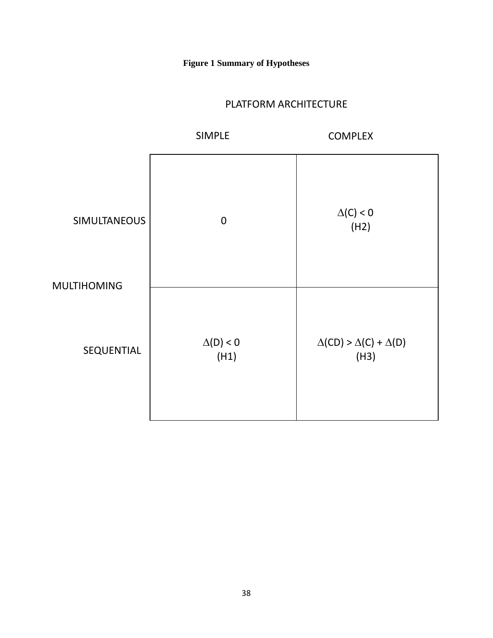## **Figure 1 Summary of Hypotheses**

# PLATFORM ARCHITECTURE

|                                           | <b>SIMPLE</b>           | <b>COMPLEX</b>                               |
|-------------------------------------------|-------------------------|----------------------------------------------|
| <b>SIMULTANEOUS</b><br><b>MULTIHOMING</b> | $\mathbf 0$             | $\Delta(C) < 0$<br>(H2)                      |
| SEQUENTIAL                                | $\Delta(D) < 0$<br>(H1) | $\Delta(CD) > \Delta(C) + \Delta(D)$<br>(H3) |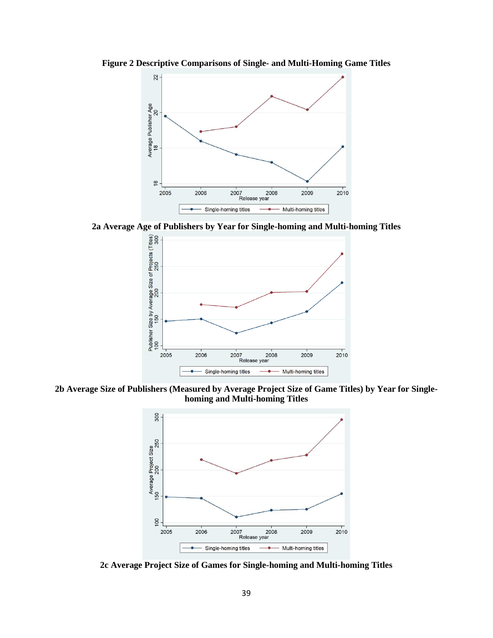

**Figure 2 Descriptive Comparisons of Single- and Multi-Homing Game Titles** 

**2a Average Age of Publishers by Year for Single-homing and Multi-homing Titles** 



**2b Average Size of Publishers (Measured by Average Project Size of Game Titles) by Year for Singlehoming and Multi-homing Titles** 



**2c Average Project Size of Games for Single-homing and Multi-homing Titles**